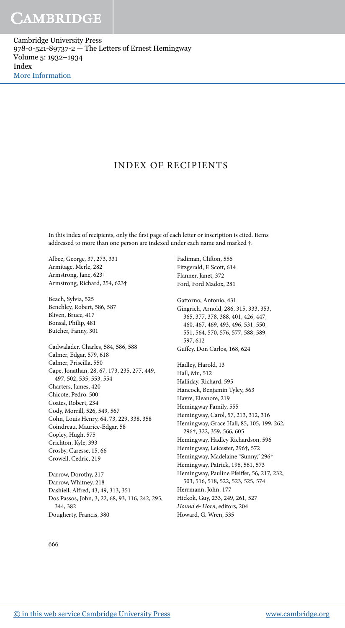Cambridge University Press 978-0-521-89737-2 — The Letters of Ernest Hemingway Volume 5: 1932–1934 Index [More Information](www.cambridge.org/9780521897372)

#### INDEX OF RECIPIENTS

In this index of recipients, only the first page of each letter or inscription is cited. Items addressed to more than one person are indexed under each name and marked †.

Albee, George, 37, 273, 331 Armitage, Merle, 282 Armstrong, Jane, 623† Armstrong, Richard, 254, 623†

Beach, Sylvia, 525 Benchley, Robert, 586, 587 Bliven, Bruce, 417 Bonsal, Philip, 481 Butcher, Fanny, 301

Cadwalader, Charles, 584, 586, 588 Calmer, Edgar, 579, 618 Calmer, Priscilla, 550 Cape, Jonathan, 28, 67, 173, 235, 277, 449, 497, 502, 535, 553, 554 Charters, James, 420 Chicote, Pedro, 500 Coates, Robert, 234 Cody, Morrill, 526, 549, 567 Cohn, Louis Henry, 64, 73, 229, 338, 358 Coindreau, Maurice-Edgar, 58 Copley, Hugh, 575 Crichton, Kyle, 393 Crosby, Caresse, 15, 66 Crowell, Cedric, 219

Darrow, Dorothy, 217 Darrow, Whitney, 218 Dashiell, Alfred, 43, 49, 313, 351 Dos Passos, John, 3, 22, 68, 93, 116, 242, 295, 344, 382 Dougherty, Francis, 380

Fadiman, Cliton, 556 Fitzgerald, F. Scott, 614 Flanner, Janet, 372 Ford, Ford Madox, 281

Gattorno, Antonio, 431 Gingrich, Arnold, 286, 315, 333, 353, 365, 377, 378, 388, 401, 426, 447, 460, 467, 469, 493, 496, 531, 550, 551, 564, 570, 576, 577, 588, 589, 597, 612 Gufey, Don Carlos, 168, 624 Hadley, Harold, 13 Hall, Mr., 512 Halliday, Richard, 595 Hancock, Benjamin Tyley, 563 Havre, Eleanore, 219 Hemingway Family, 555 Hemingway, Carol, 57, 213, 312, 316 Hemingway, Grace Hall, 85, 105, 199, 262, 296†, 322, 359, 566, 605 Hemingway, Hadley Richardson, 596 Hemingway, Leicester, 296†, 572 Hemingway, Madelaine "Sunny," 296† Hemingway, Patrick, 196, 561, 573 Hemingway, Pauline Pfeifer, 56, 217, 232, 503, 516, 518, 522, 523, 525, 574 Herrmann, John, 177 Hickok, Guy, 233, 249, 261, 527 Hound & Horn, editors, 204 Howard, G. Wren, 535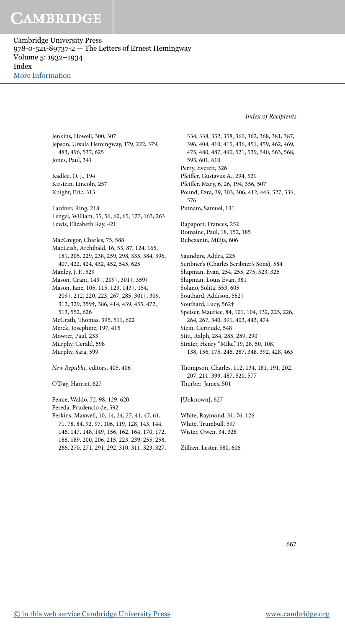Cambridge University Press 978-0-521-89737-2 — The Letters of Ernest Hemingway Volume 5: 1932–1934 Index [More Information](www.cambridge.org/9780521897372)

Index of Recipients

Jenkins, Howell, 300, 307 Jepson, Ursula Hemingway, 179, 222, 379, 483, 496, 537, 625 Jones, Paul, 341

Kadlec, O. J., 194 Kirstein, Lincoln, 257 Knight, Eric, 313

Lardner, Ring, 218 Lengel, William, 55, 56, 60, 65, 127, 163, 263 Lewis, Elizabeth Ray, 421

MacGregor, Charles, 75, 588 MacLeish, Archibald, 16, 53, 87, 124, 165, 181, 205, 229, 238, 259, 298, 335, 384, 396, 407, 422, 424, 432, 452, 545, 625 Manley, J. F., 529 Mason, Grant, 143†, 209†, 301†, 359† Mason, Jane, 105, 115, 129, 143†, 154, 209†, 212, 220, 223, 267, 285, 301†, 309, 312, 329, 359†, 386, 414, 439, 455, 472, 513, 552, 626 McGrath, Thomas, 395, 511, 622 Merck, Josephine, 197, 415 Mowrer, Paul, 233 Murphy, Gerald, 598 Murphy, Sara, 599

New Republic, editors, 405, 406

O'Day, Harriet, 627

Peirce, Waldo, 72, 98, 129, 620 Pereda, Prudencio de, 592 Perkins, Maxwell, 10, 14, 24, 27, 41, 47, 61, 71, 78, 84, 92, 97, 106, 119, 128, 143, 144, 146, 147, 148, 149, 156, 162, 164, 170, 172, 188, 189, 200, 206, 215, 223, 239, 255, 258, 266, 270, 271, 291, 292, 310, 311, 323, 327,

334, 338, 352, 358, 360, 362, 368, 381, 387, 396, 404, 410, 415, 436, 451, 459, 462, 469, 475, 480, 487, 490, 521, 539, 540, 563, 568, 593, 601, 610 Perry, Everett, 326 Pfeifer, Gustavus A., 294, 521 Pfeifer, Mary, 6, 26, 194, 356, 507 Pound, Ezra, 39, 303, 306, 412, 443, 527, 536, 576 Putnam, Samuel, 131 Rapaport, Frances, 252 Romaine, Paul, 18, 152, 185 Rubezanin, Milija, 606 Saunders, Addra, 225 Scribner's (Charles Scribner's Sons), 584 Shipman, Evan, 254, 255, 275, 323, 326 Shipman, Louis Evan, 381 Solano, Solita, 553, 605 Southard, Addison, 562† Southard, Lucy, 562† Speiser, Maurice, 84, 101, 104, 132, 225, 226, 264, 267, 340, 391, 403, 443, 474 Stein, Gertrude, 548 Stitt, Ralph, 284, 285, 289, 290 Strater, Henry "Mike,"19, 28, 50, 108, 138, 156, 175, 246, 287, 348, 392, 428, 463 hompson, Charles, 112, 134, 181, 191, 202, 207, 211, 399, 487, 520, 577 hurber, James, 501 [Unknown], 627

White, Raymond, 31, 76, 126 White, Trumbull, 597 Wister, Owen, 34, 328

Zifren, Lester, 580, 606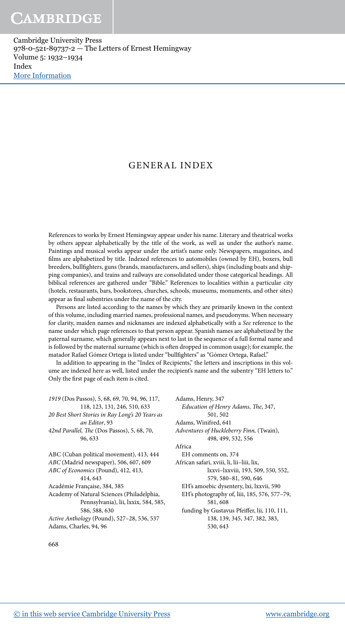Cambridge University Press 978-0-521-89737-2 — The Letters of Ernest Hemingway Volume 5: 1932–1934 Index [More Information](www.cambridge.org/9780521897372)

#### GENERAL INDEX

References to works by Ernest Hemingway appear under his name. Literary and theatrical works by others appear alphabetically by the title of the work, as well as under the author's name. Paintings and musical works appear under the artist's name only. Newspapers, magazines, and films are alphabetized by title. Indexed references to automobiles (owned by EH), boxers, bull breeders, bullighters, guns (brands, manufacturers, and sellers), ships (including boats and shipping companies), and trains and railways are consolidated under those categorical headings. All biblical references are gathered under "Bible." References to localities within a particular city (hotels, restaurants, bars, bookstores, churches, schools, museums, monuments, and other sites) appear as final subentries under the name of the city.

Persons are listed according to the names by which they are primarily known in the context of this volume, including married names, professional names, and pseudonyms. When necessary for clarity, maiden names and nicknames are indexed alphabetically with a See reference to the name under which page references to that person appear. Spanish names are alphabetized by the paternal surname, which generally appears next to last in the sequence of a full formal name and is followed by the maternal surname (which is oten dropped in common usage); for example, the matador Rafael Gómez Ortega is listed under "bullighters" as "Gómez Ortega, Rafael."

In addition to appearing in the "Index of Recipients," the letters and inscriptions in this volume are indexed here as well, listed under the recipient's name and the subentry "EH letters to." Only the first page of each item is cited.

Adams, Henry, 347

Adams, Winifred, 641

1919 (Dos Passos), 5, 68, 69, 70, 94, 96, 117, 118, 123, 131, 246, 510, 633 20 Best Short Stories in Ray Long's 20 Years as an Editor, 93 42nd Parallel, The (Dos Passos), 5, 68, 70, 96, 633 ABC (Cuban political movement), 413, 444 ABC (Madrid newspaper), 506, 607, 609 ABC of Economics (Pound), 412, 413, 414, 643 Académie Française, 384, 385 Academy of Natural Sciences (Philadelphia, Pennsylvania), lii, lxxix, 584, 585, 586, 588, 630 Active Anthology (Pound), 527–28, 536, 537 Adams, Charles, 94, 96

Adventures of Huckleberry Finn, (Twain), 498, 499, 532, 556 Africa EH comments on, 374 African safari, xviii, li, lii–liii, lix, lxxvi–lxxviii, 193, 509, 550, 552, 579, 580–81, 590, 646 EH's amoebic dysentery, lxi, lxxvii, 590 EH's photography of, liii, 185, 576, 577–79, 581, 608 funding by Gustavus Pfeifer, lii, 110, 111, 138, 139, 345, 347, 382, 383, 530, 643

Education of Henry Adams, The, 347, 501, 502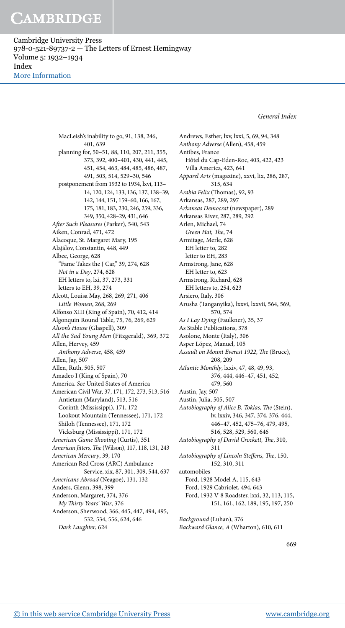Cambridge University Press 978-0-521-89737-2 — The Letters of Ernest Hemingway Volume 5: 1932–1934 Index [More Information](www.cambridge.org/9780521897372)

General Index

MacLeish's inability to go, 91, 138, 246, 401, 639 planning for, 50–51, 88, 110, 207, 211, 355, 373, 392, 400–401, 430, 441, 445, 451, 454, 463, 484, 485, 486, 487, 491, 503, 514, 529–30, 546 postponement from 1932 to 1934, lxvi, 113– 14, 120, 124, 133, 136, 137, 138–39, 142, 144, 151, 159–60, 166, 167, 175, 181, 183, 230, 246, 259, 336, 349, 350, 428–29, 431, 646 Ater Such Pleasures (Parker), 540, 543 Aiken, Conrad, 471, 472 Alacoque, St. Margaret Mary, 195 Alajálov, Constantin, 448, 449 Albee, George, 628 "Fame Takes the J Car," 39, 274, 628 Not in a Day, 274, 628 EH letters to, lxi, 37, 273, 331 letters to EH, 39, 274 Alcott, Louisa May, 268, 269, 271, 406 Little Women, 268, 269 Alfonso XIII (King of Spain), 70, 412, 414 Algonquin Round Table, 75, 76, 269, 629 Alison's House (Glaspell), 309 All the Sad Young Men (Fitzgerald), 369, 372 Allen, Hervey, 459 Anthony Adverse, 458, 459 Allen, Jay, 507 Allen, Ruth, 505, 507 Amadeo I (King of Spain), 70 America. See United States of America American Civil War, 37, 171, 172, 273, 513, 516 Antietam (Maryland), 513, 516 Corinth (Mississippi), 171, 172 Lookout Mountain (Tennessee), 171, 172 Shiloh (Tennessee), 171, 172 Vicksburg (Mississippi), 171, 172 American Game Shooting (Curtis), 351 American Jitters, The (Wilson), 117, 118, 131, 243 American Mercury, 39, 170 American Red Cross (ARC) Ambulance Service, xix, 87, 301, 309, 544, 637 Americans Abroad (Neagoe), 131, 132 Anders, Glenn, 398, 399 Anderson, Margaret, 374, 376 My Thirty Years' War, 376 Anderson, Sherwood, 366, 445, 447, 494, 495, 532, 534, 556, 624, 646 Dark Laughter, 624

Andrews, Esther, lxv, lxxi, 5, 69, 94, 348 Anthony Adverse (Allen), 458, 459 Antibes, France Hôtel du Cap-Eden-Roc, 403, 422, 423 Villa America, 423, 641 Apparel Arts (magazine), xxvi, lix, 286, 287, 315, 634 Arabia Felix (Thomas), 92, 93 Arkansas, 287, 289, 297 Arkansas Democrat (newspaper), 289 Arkansas River, 287, 289, 292 Arlen, Michael, 74 Green Hat, The, 74 Armitage, Merle, 628 EH letter to, 282 letter to EH, 283 Armstrong, Jane, 628 EH letter to, 623 Armstrong, Richard, 628 EH letters to, 254, 623 Arsiero, Italy, 306 Arusha (Tanganyika), lxxvi, lxxvii, 564, 569, 570, 574 As I Lay Dying (Faulkner), 35, 37 As Stable Publications, 378 Asolone, Monte (Italy), 306 Asper López, Manuel, 105 Assault on Mount Everest 1922, The (Bruce), 208, 209 Atlantic Monthly, lxxiv, 47, 48, 49, 93, 376, 444, 446–47, 451, 452, 479, 560 Austin, Jay, 507 Austin, Julia, 505, 507 Autobiography of Alice B. Toklas, The (Stein), lv, lxxiv, 346, 347, 374, 376, 444, 446–47, 452, 475–76, 479, 495, 516, 528, 529, 560, 646 Autobiography of David Crockett, The, 310, 311 Autobiography of Lincoln Steffens, The, 150, 152, 310, 311 automobiles Ford, 1928 Model A, 115, 643 Ford, 1929 Cabriolet, 494, 643 Ford, 1932 V-8 Roadster, lxxi, 32, 113, 115, 151, 161, 162, 189, 195, 197, 250 Background (Luhan), 376 Backward Glance, A (Wharton), 610, 611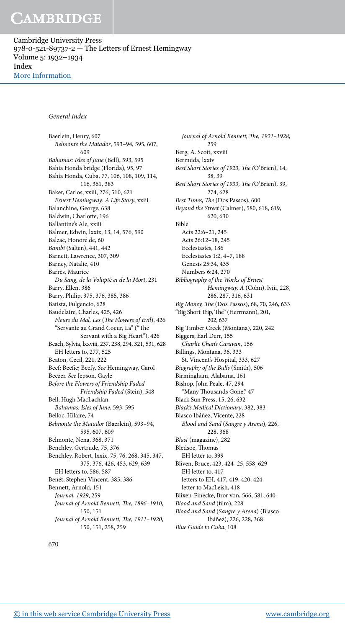Cambridge University Press 978-0-521-89737-2 — The Letters of Ernest Hemingway Volume 5: 1932–1934 Index [More Information](www.cambridge.org/9780521897372)

#### General Index

Baerlein, Henry, 607 Belmonte the Matador, 593–94, 595, 607, 609 Bahamas: Isles of June (Bell), 593, 595 Bahia Honda bridge (Florida), 95, 97 Bahía Honda, Cuba, 77, 106, 108, 109, 114, 116, 361, 383 Baker, Carlos, xxiii, 276, 510, 621 Ernest Hemingway: A Life Story, xxiii Balanchine, George, 638 Baldwin, Charlotte, 196 Ballantine's Ale, xxiii Balmer, Edwin, lxxix, 13, 14, 576, 590 Balzac, Honoré de, 60 Bambi (Salten), 441, 442 Barnett, Lawrence, 307, 309 Barney, Natalie, 410 Barrès, Maurice Du Sang, de la Volupté et de la Mort, 231 Barry, Ellen, 386 Barry, Philip, 375, 376, 385, 386 Batista, Fulgencio, 628 Baudelaire, Charles, 425, 426 Fleurs du Mal, Les (The Flowers of Evil), 426 "Servante au Grand Coeur, La" ("he Servant with a Big Heart"), 426 Beach, Sylvia, lxxviii, 237, 238, 294, 321, 531, 628 EH letters to, 277, 525 Beaton, Cecil, 221, 222 Beef; Beefie; Beefy. See Hemingway, Carol Beezer. See Jepson, Gayle Before the Flowers of Friendship Faded Friendship Faded (Stein), 548 Bell, Hugh MacLachlan Bahamas: Isles of June, 593, 595 Belloc, Hilaire, 74 Belmonte the Matador (Baerlein), 593–94, 595, 607, 609 Belmonte, Nena, 368, 371 Benchley, Gertrude, 75, 376 Benchley, Robert, lxxix, 75, 76, 268, 345, 347, 375, 376, 426, 453, 629, 639 EH letters to, 586, 587 Benét, Stephen Vincent, 385, 386 Bennett, Arnold, 151 Journal, 1929, 259 Journal of Arnold Bennett, The, 1896-1910, 150, 151 Journal of Arnold Bennett, The, 1911-1920, 150, 151, 258, 259

Journal of Arnold Bennett, The, 1921-1928, 259 Berg, A. Scott, xxviii Bermuda, lxxiv Best Short Stories of 1923, The (O'Brien), 14, 38, 39 Best Short Stories of 1933, The (O'Brien), 39, 274, 628 Best Times, The (Dos Passos), 600 Beyond the Street (Calmer), 580, 618, 619, 620, 630 Bible Acts 22:6–21, 245 Acts 26:12–18, 245 Ecclesiastes, 186 Ecclesiastes 1:2, 4–7, 188 Genesis 25:34, 435 Numbers 6:24, 270 Bibliography of the Works of Ernest Hemingway, A (Cohn), lviii, 228, 286, 287, 316, 631 Big Money, The (Dos Passos), 68, 70, 246, 633 "Big Short Trip, The" (Herrmann), 201, 202, 637 Big Timber Creek (Montana), 220, 242 Biggers, Earl Derr, 155 Charlie Chan's Caravan, 156 Billings, Montana, 36, 333 St. Vincent's Hospital, 333, 627 Biography of the Bulls (Smith), 506 Birmingham, Alabama, 161 Bishop, John Peale, 47, 294 "Many Thousands Gone," 47 Black Sun Press, 15, 26, 632 Black's Medical Dictionary, 382, 383 Blasco Ibáñez, Vicente, 228 Blood and Sand (Sangre y Arena), 226, 228, 368 Blast (magazine), 282 Bledsoe, Thomas EH letter to, 399 Bliven, Bruce, 423, 424–25, 558, 629 EH letter to, 417 letters to EH, 417, 419, 420, 424 letter to MacLeish, 418 Blixen-Finecke, Bror von, 566, 581, 640 Blood and Sand (film), 228 Blood and Sand (Sangre y Arena) (Blasco Ibáñez), 226, 228, 368 Blue Guide to Cuba, 108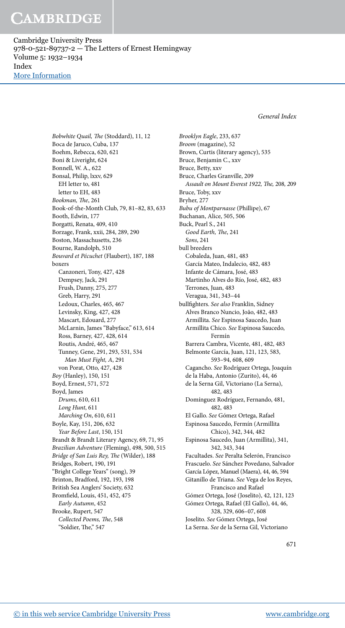Cambridge University Press 978-0-521-89737-2 — The Letters of Ernest Hemingway Volume 5: 1932–1934 Index [More Information](www.cambridge.org/9780521897372)

General Index

Bobwhite Quail, The (Stoddard), 11, 12 Boca de Jaruco, Cuba, 137 Boehm, Rebecca, 620, 621 Boni & Liveright, 624 Bonnell, W. A., 622 Bonsal, Philip, lxxv, 629 EH letter to, 481 letter to EH, 483 Bookman, The, 261 Book-of-the-Month Club, 79, 81–82, 83, 633 Booth, Edwin, 177 Borgatti, Renata, 409, 410 Borzage, Frank, xxii, 284, 289, 290 Boston, Massachusetts, 236 Bourne, Randolph, 510 Bouvard et Pécuchet (Flaubert), 187, 188 boxers Canzoneri, Tony, 427, 428 Dempsey, Jack, 291 Frush, Danny, 275, 277 Greb, Harry, 291 Ledoux, Charles, 465, 467 Levinsky, King, 427, 428 Mascart, Edouard, 277 McLarnin, James "Babyface," 613, 614 Ross, Barney, 427, 428, 614 Routis, André, 465, 467 Tunney, Gene, 291, 293, 531, 534 Man Must Fight, A, 291 von Porat, Otto, 427, 428 Boy (Hanley), 150, 151 Boyd, Ernest, 571, 572 Boyd, James Drums, 610, 611 Long Hunt, 611 Marching On, 610, 611 Boyle, Kay, 151, 206, 632 Year Before Last, 150, 151 Brandt & Brandt Literary Agency, 69, 71, 95 Brazilian Adventure (Fleming), 498, 500, 515 Bridge of San Luis Rey, The (Wilder), 188 Bridges, Robert, 190, 191 "Bright College Years" (song), 39 Brinton, Bradford, 192, 193, 198 British Sea Anglers' Society, 632 Bromield, Louis, 451, 452, 475 Early Autumn, 452 Brooke, Rupert, 547 Collected Poems, The, 548 "Soldier, The," 547

Brooklyn Eagle, 233, 637 Broom (magazine), 52 Brown, Curtis (literary agency), 535 Bruce, Benjamin C., xxv Bruce, Betty, xxv Bruce, Charles Granville, 209 Assault on Mount Everest 1922, The, 208, 209 Bruce, Toby, xxv Bryher, 277 Bubu of Montparnasse (Phillipe), 67 Buchanan, Alice, 505, 506 Buck, Pearl S., 241 Good Earth, The, 241 Sons, 241 bull breeders Cobaleda, Juan, 481, 483 García Mateo, Indalecio, 482, 483 Infante de Cámara, José, 483 Martinho Alves do Río, José, 482, 483 Terrones, Juan, 483 Veragua, 341, 343–44 bullighters. See also Franklin, Sidney Alves Branco Nuncio, João, 482, 483 Armillita. See Espinosa Saucedo, Juan Armillita Chico. See Espinosa Saucedo, Fermín Barrera Cambra, Vicente, 481, 482, 483 Belmonte García, Juan, 121, 123, 583, 593–94, 608, 609 Cagancho. See Rodríguez Ortega, Joaquín de la Haba, Antonio (Zurito), 44, 46 de la Serna Gil, Victoriano (La Serna), 482, 483 Domínguez Rodríguez, Fernando, 481, 482, 483 El Gallo. See Gómez Ortega, Rafael Espinosa Saucedo, Fermín (Armillita Chico), 342, 344, 482 Espinosa Saucedo, Juan (Armillita), 341, 342, 343, 344 Facultades. See Peralta Selerón, Francisco Frascuelo. See Sánchez Povedano, Salvador García López, Manuel (Maera), 44, 46, 594 Gitanillo de Triana. See Vega de los Reyes, Francisco and Rafael Gómez Ortega, José (Joselito), 42, 121, 123 Gómez Ortega, Rafael (El Gallo), 44, 46, 328, 329, 606–07, 608 Joselito. See Gómez Ortega, José La Serna. See de la Serna Gil, Victoriano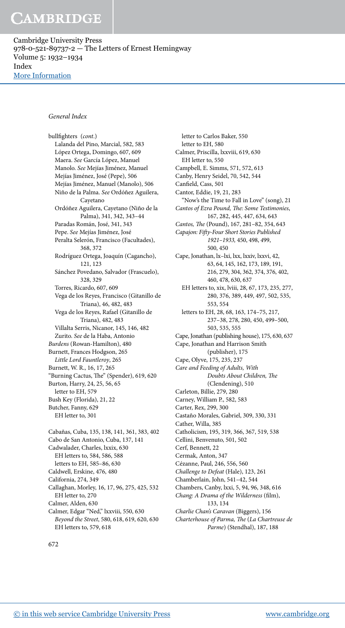Cambridge University Press 978-0-521-89737-2 — The Letters of Ernest Hemingway Volume 5: 1932–1934 Index [More Information](www.cambridge.org/9780521897372)

#### General Index

bullfighters (cont.) Lalanda del Pino, Marcial, 582, 583 López Ortega, Domingo, 607, 609 Maera. See García López, Manuel Manolo. See Mejías Jiménez, Manuel Mejías Jiménez, José (Pepe), 506 Mejías Jiménez, Manuel (Manolo), 506 Niño de la Palma. See Ordóñez Aguilera, Cayetano Ordóñez Aguilera, Cayetano (Niño de la Palma), 341, 342, 343–44 Paradas Román, José, 341, 343 Pepe. See Mejías Jiménez, José Peralta Selerón, Francisco (Facultades), 368, 372 Rodríguez Ortega, Joaquín (Cagancho), 121, 123 Sánchez Povedano, Salvador (Frascuelo), 328, 329 Torres, Ricardo, 607, 609 Vega de los Reyes, Francisco (Gitanillo de Triana), 46, 482, 483 Vega de los Reyes, Rafael (Gitanillo de Triana), 482, 483 Villalta Serris, Nicanor, 145, 146, 482 Zurito. See de la Haba, Antonio Burdens (Rowan-Hamilton), 480 Burnett, Frances Hodgson, 265 Little Lord Fauntleroy, 265 Burnett, W. R., 16, 17, 265 "Burning Cactus, The" (Spender), 619, 620 Burton, Harry, 24, 25, 56, 65 letter to EH, 579 Bush Key (Florida), 21, 22 Butcher, Fanny, 629 EH letter to, 301 Cabañas, Cuba, 135, 138, 141, 361, 383, 402 Cabo de San Antonio, Cuba, 137, 141 Cadwalader, Charles, lxxix, 630 EH letters to, 584, 586, 588 letters to EH, 585–86, 630 Caldwell, Erskine, 476, 480 California, 274, 349 Callaghan, Morley, 16, 17, 96, 275, 425, 532 EH letter to, 270 Calmer, Alden, 630

Calmer, Edgar "Ned," lxxviii, 550, 630 Beyond the Street, 580, 618, 619, 620, 630 EH letters to, 579, 618

letter to Carlos Baker, 550 letter to EH, 580 Calmer, Priscilla, lxxviii, 619, 630 EH letter to, 550 Campbell, E. Simms, 571, 572, 613 Canby, Henry Seidel, 70, 542, 544 Canfield, Cass, 501 Cantor, Eddie, 19, 21, 283 "Now's the Time to Fall in Love" (song), 21 Cantos of Ezra Pound, The: Some Testimonies, 167, 282, 445, 447, 634, 643 Cantos, The (Pound), 167, 281-82, 354, 643 Capajon: Fity-Four Short Stories Published 1921–1933, 450, 498, 499, 500, 450 Cape, Jonathan, lx–lxi, lxx, lxxiv, lxxvi, 42, 63, 64, 145, 162, 173, 189, 191, 216, 279, 304, 362, 374, 376, 402, 460, 478, 630, 637 EH letters to, xix, lviii, 28, 67, 173, 235, 277, 280, 376, 389, 449, 497, 502, 535, 553, 554 letters to EH, 28, 68, 163, 174–75, 217, 237–38, 278, 280, 450, 499–500, 503, 535, 555 Cape, Jonathan (publishing house), 175, 630, 637 Cape, Jonathan and Harrison Smith (publisher), 175 Cape, Olyve, 175, 235, 237 Care and Feeding of Adults, With Doubts About Children, The (Clendening), 510 Carleton, Billie, 279, 280 Carney, William P., 582, 583 Carter, Rex, 299, 300 Castaño Morales, Gabriel, 309, 330, 331 Cather, Willa, 385 Catholicism, 195, 319, 366, 367, 519, 538 Cellini, Benvenuto, 501, 502 Cerf, Bennett, 22 Cermak, Anton, 347 Cézanne, Paul, 246, 556, 560 Challenge to Defeat (Hale), 123, 261 Chamberlain, John, 541–42, 544 Chambers, Canby, lxxi, 5, 94, 96, 348, 616 Chang: A Drama of the Wilderness (film), 133, 134 Charlie Chan's Caravan (Biggers), 156 Charterhouse of Parma, The (La Chartreuse de Parme) (Stendhal), 187, 188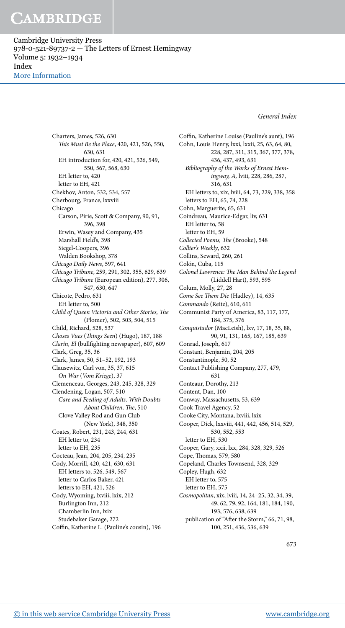Cambridge University Press 978-0-521-89737-2 — The Letters of Ernest Hemingway Volume 5: 1932–1934 Index [More Information](www.cambridge.org/9780521897372)

General Index

Charters, James, 526, 630 This Must Be the Place, 420, 421, 526, 550, 630, 631 EH introduction for, 420, 421, 526, 549, 550, 567, 568, 630 EH letter to, 420 letter to EH, 421 Chekhov, Anton, 532, 534, 557 Cherbourg, France, lxxviii Chicago Carson, Pirie, Scott & Company, 90, 91, 396, 398 Erwin, Wasey and Company, 435 Marshall Field's, 398 Siegel-Coopers, 396 Walden Bookshop, 378 Chicago Daily News, 597, 641 Chicago Tribune, 259, 291, 302, 355, 629, 639 Chicago Tribune (European edition), 277, 306, 547, 630, 647 Chicote, Pedro, 631 EH letter to, 500 Child of Queen Victoria and Other Stories, The (Plomer), 502, 503, 504, 515 Child, Richard, 528, 537 Choses Vues (Things Seen) (Hugo), 187, 188 Clarín, El (bullighting newspaper), 607, 609 Clark, Greg, 35, 36 Clark, James, 50, 51–52, 192, 193 Clausewitz, Carl von, 35, 37, 615 On War (Vom Kriege), 37 Clemenceau, Georges, 243, 245, 328, 329 Clendening, Logan, 507, 510 Care and Feeding of Adults, With Doubts About Children, The, 510 Clove Valley Rod and Gun Club (New York), 348, 350 Coates, Robert, 231, 243, 244, 631 EH letter to, 234 letter to EH, 235 Cocteau, Jean, 204, 205, 234, 235 Cody, Morrill, 420, 421, 630, 631 EH letters to, 526, 549, 567 letter to Carlos Baker, 421 letters to EH, 421, 526 Cody, Wyoming, lxviii, lxix, 212 Burlington Inn, 212 Chamberlin Inn, lxix Studebaker Garage, 272 Coffin, Katherine L. (Pauline's cousin), 196

Coffin, Katherine Louise (Pauline's aunt), 196 Cohn, Louis Henry, lxxi, lxxii, 25, 63, 64, 80, 228, 287, 311, 315, 367, 377, 378, 436, 437, 493, 631 Bibliography of the Works of Ernest Hemingway, A, lviii, 228, 286, 287, 316, 631 EH letters to, xix, lviii, 64, 73, 229, 338, 358 letters to EH, 65, 74, 228 Cohn, Marguerite, 65, 631 Coindreau, Maurice-Edgar, liv, 631 EH letter to, 58 letter to EH, 59 Collected Poems, The (Brooke), 548 Collier's Weekly, 632 Collins, Seward, 260, 261 Colón, Cuba, 115 Colonel Lawrence: The Man Behind the Legend (Liddell Hart), 593, 595 Colum, Molly, 27, 28 Come See Them Die (Hadley), 14, 635 Commando (Reitz), 610, 611 Communist Party of America, 83, 117, 177, 184, 375, 376 Conquistador (MacLeish), lxv, 17, 18, 35, 88, 90, 91, 131, 165, 167, 185, 639 Conrad, Joseph, 617 Constant, Benjamin, 204, 205 Constantinople, 50, 52 Contact Publishing Company, 277, 479, 631 Conteaur, Dorothy, 213 Content, Dan, 100 Conway, Massachusetts, 53, 639 Cook Travel Agency, 52 Cooke City, Montana, lxviii, lxix Cooper, Dick, lxxviii, 441, 442, 456, 514, 529, 530, 552, 553 letter to EH, 530 Cooper, Gary, xxii, lxx, 284, 328, 329, 526 Cope, Thomas, 579, 580 Copeland, Charles Townsend, 328, 329 Copley, Hugh, 632 EH letter to, 575 letter to EH, 575 Cosmopolitan, xix, lviii, 14, 24–25, 32, 34, 39, 49, 62, 79, 92, 164, 181, 184, 190, 193, 576, 638, 639

publication of "After the Storm," 66, 71, 98, 100, 251, 436, 536, 639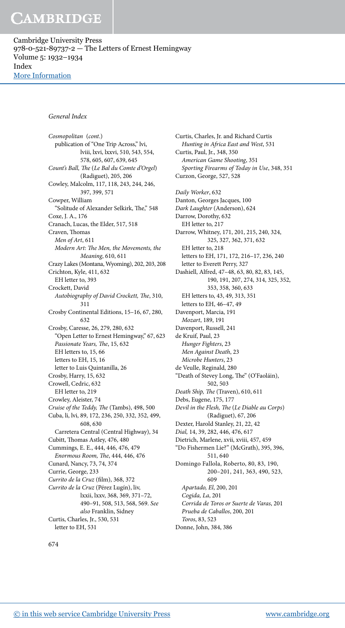Cambridge University Press 978-0-521-89737-2 — The Letters of Ernest Hemingway Volume 5: 1932–1934 Index [More Information](www.cambridge.org/9780521897372)

#### General Index

Cosmopolitan (cont.) publication of "One Trip Across," lvi, lviii, lxvi, lxxvi, 510, 543, 554, 578, 605, 607, 639, 645 Count's Ball, The (Le Bal du Comte d'Orgel) (Radiguet), 205, 206 Cowley, Malcolm, 117, 118, 243, 244, 246, 397, 399, 571 Cowper, William "Solitude of Alexander Selkirk, The," 548 Coxe, J. A., 176 Cranach, Lucas, the Elder, 517, 518 Craven, Thomas Men of Art, 611 Modern Art: The Men, the Movements, the Meaning, 610, 611 Crazy Lakes (Montana, Wyoming), 202, 203, 208 Crichton, Kyle, 411, 632 EH letter to, 393 Crockett, David Autobiography of David Crockett, The, 310, 311 Crosby Continental Editions, 15–16, 67, 280, 632 Crosby, Caresse, 26, 279, 280, 632 "Open Letter to Ernest Hemingway," 67, 623 Passionate Years, The, 15, 632 EH letters to, 15, 66 letters to EH, 15, 16 letter to Luis Quintanilla, 26 Crosby, Harry, 15, 632 Crowell, Cedric, 632 EH letter to, 219 Crowley, Aleister, 74 Cruise of the Teddy, The (Tambs), 498, 500 Cuba, li, lvi, 89, 172, 236, 250, 332, 352, 499, 608, 630 Carretera Central (Central Highway), 34 Cubitt, Thomas Astley, 476, 480 Cummings, E. E., 444, 446, 476, 479 Enormous Room, The, 444, 446, 476 Cunard, Nancy, 73, 74, 374 Currie, George, 233 Currito de la Cruz (film), 368, 372 Currito de la Cruz (Pérez Lugín), liv, lxxii, lxxv, 368, 369, 371–72, 490–91, 508, 513, 568, 569. See also Franklin, Sidney Curtis, Charles, Jr., 530, 531 letter to EH, 531

Curtis, Charles, Jr. and Richard Curtis Hunting in Africa East and West, 531 Curtis, Paul, Jr., 348, 350 American Game Shooting, 351 Sporting Firearms of Today in Use, 348, 351 Curzon, George, 527, 528 Daily Worker, 632 Danton, Georges Jacques, 100 Dark Laughter (Anderson), 624 Darrow, Dorothy, 632 EH letter to, 217 Darrow, Whitney, 171, 201, 215, 240, 324, 325, 327, 362, 371, 632 EH letter to, 218 letters to EH, 171, 172, 216–17, 236, 240 letter to Everett Perry, 327 Dashiell, Alfred, 47–48, 63, 80, 82, 83, 145, 190, 191, 207, 274, 314, 325, 352, 353, 358, 360, 633 EH letters to, 43, 49, 313, 351 letters to EH, 46–47, 49 Davenport, Marcia, 191 Mozart, 189, 191 Davenport, Russell, 241 de Kruif, Paul, 23 Hunger Fighters, 23 Men Against Death, 23 Microbe Hunters, 23 de Veulle, Reginald, 280 "Death of Stevey Long, The" (O'Faoláin), 502, 503 Death Ship, The (Traven), 610, 611 Debs, Eugene, 175, 177 Devil in the Flesh, The (Le Diable au Corps) (Radiguet), 67, 206 Dexter, Harold Stanley, 21, 22, 42 Dial, 14, 39, 282, 446, 476, 617 Dietrich, Marlene, xvii, xviii, 457, 459 "Do Fishermen Lie?" (McGrath), 395, 396, 511, 640 Domingo Fallola, Roberto, 80, 83, 190, 200–201, 241, 363, 490, 523, 609 Apartado, El, 200, 201 Cogida, La, 201 Corrida de Toros or Suerte de Varas, 201 Prueba de Caballos, 200, 201 Toros, 83, 523 Donne, John, 384, 386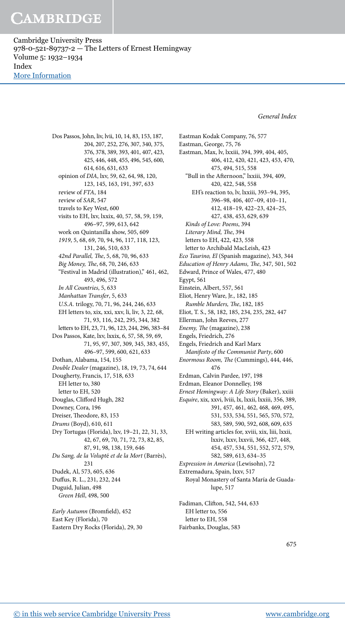Cambridge University Press 978-0-521-89737-2 — The Letters of Ernest Hemingway Volume 5: 1932–1934 Index [More Information](www.cambridge.org/9780521897372)

General Index

Dos Passos, John, liv, lvii, 10, 14, 83, 153, 187, 204, 207, 252, 276, 307, 340, 375, 376, 378, 389, 393, 401, 407, 423, 425, 446, 448, 455, 496, 545, 600, 614, 616, 631, 633 opinion of DIA, lxv, 59, 62, 64, 98, 120, 123, 145, 163, 191, 397, 633 review of FTA, 184 review of SAR, 547 travels to Key West, 600 visits to EH, lxv, lxxix, 40, 57, 58, 59, 159, 496–97, 599, 613, 642 work on Quintanilla show, 505, 609 1919, 5, 68, 69, 70, 94, 96, 117, 118, 123, 131, 246, 510, 633 42nd Parallel, The, 5, 68, 70, 96, 633 Big Money, The, 68, 70, 246, 633 "Festival in Madrid (illustration)," 461, 462, 493, 496, 572 In All Countries, 5, 633 Manhattan Transfer, 5, 633 U.S.A. trilogy, 70, 71, 96, 244, 246, 633 EH letters to, xix, xxi, xxv, li, liv, 3, 22, 68, 71, 93, 116, 242, 295, 344, 382 letters to EH, 23, 71, 96, 123, 244, 296, 383–84 Dos Passos, Kate, lxv, lxxix, 6, 57, 58, 59, 69, 71, 95, 97, 307, 309, 345, 383, 455, 496–97, 599, 600, 621, 633 Dothan, Alabama, 154, 155 Double Dealer (magazine), 18, 19, 73, 74, 644 Dougherty, Francis, 17, 518, 633 EH letter to, 380 letter to EH, 520 Douglas, Cliford Hugh, 282 Downey, Cora, 196 Dreiser, Theodore, 83, 153 Drums (Boyd), 610, 611 Dry Tortugas (Florida), lxv, 19–21, 22, 31, 33, 42, 67, 69, 70, 71, 72, 73, 82, 85, 87, 91, 98, 138, 159, 646 Du Sang, de la Volupté et de la Mort (Barrès), 231 Dudek, Al, 573, 605, 636 Dufus, R. L., 231, 232, 244 Duguid, Julian, 498 Green Hell, 498, 500 Early Autumn (Bromield), 452 East Key (Florida), 70

Eastern Dry Rocks (Florida), 29, 30

Eastman Kodak Company, 76, 577 Eastman, George, 75, 76 Eastman, Max, lv, lxxiii, 394, 399, 404, 405, 406, 412, 420, 421, 423, 453, 470, 475, 494, 515, 558 "Bull in the Aternoon," lxxiii, 394, 409, 420, 422, 548, 558 EH's reaction to, lv, lxxiii, 393–94, 395, 396–98, 406, 407–09, 410–11, 412, 418–19, 422–23, 424–25, 427, 438, 453, 629, 639 Kinds of Love: Poems, 394 Literary Mind, The, 394 letters to EH, 422, 423, 558 letter to Archibald MacLeish, 423 Eco Taurino, El (Spanish magazine), 343, 344 Education of Henry Adams, The, 347, 501, 502 Edward, Prince of Wales, 477, 480 Egypt, 561 Einstein, Albert, 557, 561 Eliot, Henry Ware, Jr., 182, 185 Rumble Murders, The, 182, 185 Eliot, T. S., 58, 182, 185, 234, 235, 282, 447 Ellerman, John Reeves, 277 Enemy, The (magazine), 238 Engels, Friedrich, 276 Engels, Friedrich and Karl Marx Manifesto of the Communist Party, 600 Enormous Room, The (Cummings), 444, 446, 476 Erdman, Calvin Pardee, 197, 198 Erdman, Eleanor Donnelley, 198 Ernest Hemingway: A Life Story (Baker), xxiii Esquire, xix, xxvi, lviii, lx, lxxii, lxxiii, 356, 389, 391, 457, 461, 462, 468, 469, 495, 531, 533, 534, 551, 565, 570, 572, 583, 589, 590, 592, 608, 609, 635 EH writing articles for, xviii, xix, liii, lxxii, lxxiv, lxxv, lxxvii, 366, 427, 448, 454, 457, 534, 551, 552, 572, 579, 582, 589, 613, 634–35 Expression in America (Lewisohn), 72 Extremadura, Spain, lxxv, 517 Royal Monastery of Santa María de Guadalupe, 517 Fadiman, Cliton, 542, 544, 633 EH letter to, 556 letter to EH, 558

Fairbanks, Douglas, 583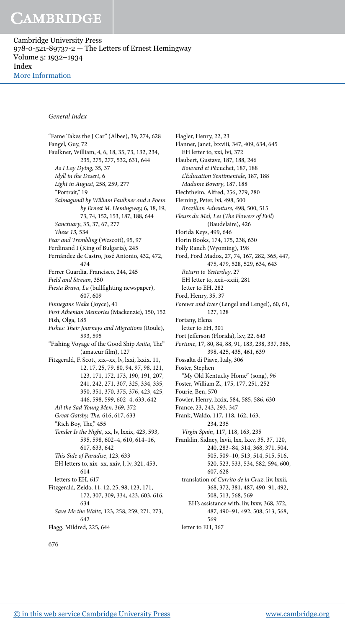Cambridge University Press 978-0-521-89737-2 — The Letters of Ernest Hemingway Volume 5: 1932–1934 Index [More Information](www.cambridge.org/9780521897372)

#### General Index

"Fame Takes the J Car" (Albee), 39, 274, 628 Fangel, Guy, 72 Faulkner, William, 4, 6, 18, 35, 73, 132, 234, 235, 275, 277, 532, 631, 644 As I Lay Dying, 35, 37 Idyll in the Desert, 6 Light in August, 258, 259, 277 "Portrait," 19 Salmagundi by William Faulkner and a Poem by Ernest M. Hemingway, 6, 18, 19, 73, 74, 152, 153, 187, 188, 644 Sanctuary, 35, 37, 67, 277 These 13, 534 Fear and Trembling (Wescott), 95, 97 Ferdinand I (King of Bulgaria), 245 Fernández de Castro, José Antonio, 432, 472, 474 Ferrer Guardia, Francisco, 244, 245 Field and Stream, 350 Fiesta Brava, La (bullfighting newspaper), 607, 609 Finnegans Wake (Joyce), 41 First Athenian Memories (Mackenzie), 150, 152 Fish, Olga, 185 Fishes: Their Journeys and Migrations (Roule), 593, 595 "Fishing Voyage of the Good Ship Anita, The" (amateur film), 127 Fitzgerald, F. Scott, xix–xx, lv, lxxi, lxxix, 11, 12, 17, 25, 79, 80, 94, 97, 98, 121, 123, 171, 172, 173, 190, 191, 207, 241, 242, 271, 307, 325, 334, 335, 350, 351, 370, 375, 376, 423, 425, 446, 598, 599, 602–4, 633, 642 All the Sad Young Men, 369, 372 Great Gatsby, The, 616, 617, 633 "Rich Boy, The," 455 Tender Is the Night, xx, lv, lxxix, 423, 593, 595, 598, 602–4, 610, 614–16, 617, 633, 642 This Side of Paradise, 123, 633 EH letters to, xix–xx, xxiv, l, lv, 321, 453, 614 letters to EH, 617 Fitzgerald, Zelda, 11, 12, 25, 98, 123, 171, 172, 307, 309, 334, 423, 603, 616, 634 Save Me the Waltz, 123, 258, 259, 271, 273, 642 Flagg, Mildred, 225, 644

Flagler, Henry, 22, 23 Flanner, Janet, lxxviii, 347, 409, 634, 645 EH letter to, xxi, lvi, 372 Flaubert, Gustave, 187, 188, 246 Bouvard et Pécuchet, 187, 188 L'Éducation Sentimentale, 187, 188 Madame Bovary, 187, 188 Flechtheim, Alfred, 256, 279, 280 Fleming, Peter, lvi, 498, 500 Brazilian Adventure, 498, 500, 515 Fleurs du Mal, Les (The Flowers of Evil) (Baudelaire), 426 Florida Keys, 499, 646 Florin Books, 174, 175, 238, 630 Folly Ranch (Wyoming), 198 Ford, Ford Madox, 27, 74, 167, 282, 365, 447, 475, 479, 528, 529, 634, 643 Return to Yesterday, 27 EH letter to, xxii–xxiii, 281 letter to EH, 282 Ford, Henry, 35, 37 Forever and Ever (Lengel and Lengel), 60, 61, 127, 128 Fortany, Elena letter to EH, 301 Fort Jeferson (Florida), lxv, 22, 643 Fortune, 17, 80, 84, 88, 91, 183, 238, 337, 385, 398, 425, 435, 461, 639 Fossalta di Piave, Italy, 306 Foster, Stephen "My Old Kentucky Home" (song), 96 Foster, William Z., 175, 177, 251, 252 Fourie, Ben, 570 Fowler, Henry, lxxix, 584, 585, 586, 630 France, 23, 243, 293, 347 Frank, Waldo, 117, 118, 162, 163, 234, 235 Virgin Spain, 117, 118, 163, 235 Franklin, Sidney, lxvii, lxx, lxxv, 35, 37, 120, 240, 283–84, 314, 368, 371, 504, 505, 509–10, 513, 514, 515, 516, 520, 523, 533, 534, 582, 594, 600, 607, 628 translation of Currito de la Cruz, liv, lxxii, 368, 372, 381, 487, 490–91, 492, 508, 513, 568, 569 EH's assistance with, liv, lxxv, 368, 372, 487, 490–91, 492, 508, 513, 568, 569 letter to EH, 367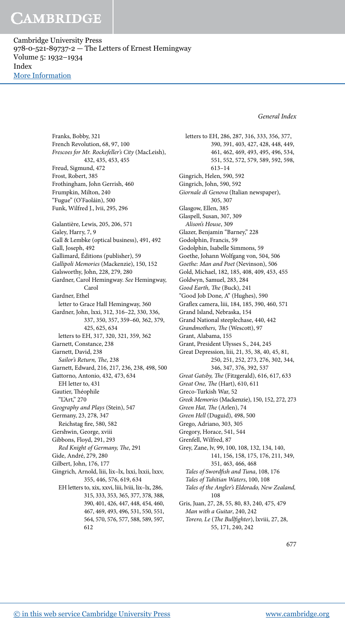Cambridge University Press 978-0-521-89737-2 — The Letters of Ernest Hemingway Volume 5: 1932–1934 Index [More Information](www.cambridge.org/9780521897372)

General Index

Franks, Bobby, 321 French Revolution, 68, 97, 100 Frescoes for Mr. Rockefeller's City (MacLeish), 432, 435, 453, 455 Freud, Sigmund, 472 Frost, Robert, 385 Frothingham, John Gerrish, 460 Frumpkin, Milton, 240 "Fugue" (O'Faoláin), 500 Funk, Wilfred J., lvii, 295, 296 Galantière, Lewis, 205, 206, 571 Galey, Harry, 7, 9 Gall & Lembke (optical business), 491, 492 Gall, Joseph, 492 Gallimard, Éditions (publisher), 59 Gallipoli Memories (Mackenzie), 150, 152 Galsworthy, John, 228, 279, 280 Gardner, Carol Hemingway. See Hemingway, Carol Gardner, Ethel letter to Grace Hall Hemingway, 360 Gardner, John, lxxi, 312, 316–22, 330, 336, 337, 350, 357, 359–60, 362, 379, 425, 625, 634 letters to EH, 317, 320, 321, 359, 362 Garnett, Constance, 238 Garnett, David, 238 Sailor's Return, The, 238 Garnett, Edward, 216, 217, 236, 238, 498, 500 Gattorno, Antonio, 432, 473, 634 EH letter to, 431 Gautier, Théophile "L'Art," 270 Geography and Plays (Stein), 547 Germany, 23, 278, 347 Reichstag fire, 580, 582 Gershwin, George, xviii Gibbons, Floyd, 291, 293 Red Knight of Germany, The, 291 Gide, André, 279, 280 Gilbert, John, 176, 177 Gingrich, Arnold, liii, lix–lx, lxxi, lxxii, lxxv, 355, 446, 576, 619, 634 EH letters to, xix, xxvi, liii, lviii, lix–lx, 286, 315, 333, 353, 365, 377, 378, 388, 390, 401, 426, 447, 448, 454, 460, 467, 469, 493, 496, 531, 550, 551, 564, 570, 576, 577, 588, 589, 597,

612

letters to EH, 286, 287, 316, 333, 356, 377, 390, 391, 403, 427, 428, 448, 449, 461, 462, 469, 493, 495, 496, 534, 551, 552, 572, 579, 589, 592, 598, 613–14 Gingrich, Helen, 590, 592 Gingrich, John, 590, 592 Giornale di Genova (Italian newspaper), 305, 307 Glasgow, Ellen, 385 Glaspell, Susan, 307, 309 Alison's House, 309 Glazer, Benjamin "Barney," 228 Godolphin, Francis, 59 Godolphin, Isabelle Simmons, 59 Goethe, Johann Wolfgang von, 504, 506 Goethe: Man and Poet (Nevinson), 506 Gold, Michael, 182, 185, 408, 409, 453, 455 Goldwyn, Samuel, 283, 284 Good Earth, The (Buck), 241 "Good Job Done, A" (Hughes), 590 Gralex camera, liii, 184, 185, 390, 460, 571 Grand Island, Nebraska, 154 Grand National steeplechase, 440, 442 Grandmothers, The (Wescott), 97 Grant, Alabama, 155 Grant, President Ulysses S., 244, 245 Great Depression, liii, 21, 35, 38, 40, 45, 81, 250, 251, 252, 273, 276, 302, 344, 346, 347, 376, 392, 537 Great Gatsby, The (Fitzgerald), 616, 617, 633 Great One, The (Hart), 610, 611 Greco-Turkish War, 52 Greek Memories (Mackenzie), 150, 152, 272, 273 Green Hat, The (Arlen), 74 Green Hell (Duguid), 498, 500 Grego, Adriano, 303, 305 Gregory, Horace, 541, 544 Grenfell, Wilfred, 87 Grey, Zane, lv, 99, 100, 108, 132, 134, 140, 141, 156, 158, 175, 176, 211, 349, 351, 463, 466, 468 Tales of Swordfish and Tuna, 108, 176 Tales of Tahitian Waters, 100, 108 Tales of the Angler's Eldorado, New Zealand, 108 Gris, Juan, 27, 28, 55, 80, 83, 240, 475, 479 Man with a Guitar, 240, 242 Torero, Le (The Bullfighter), lxviii, 27, 28, 55, 171, 240, 242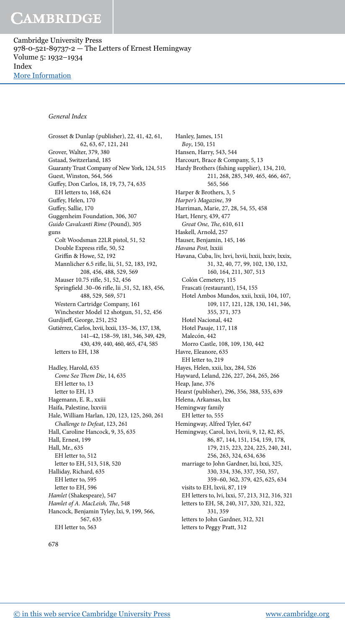Cambridge University Press 978-0-521-89737-2 — The Letters of Ernest Hemingway Volume 5: 1932–1934 Index [More Information](www.cambridge.org/9780521897372)

#### General Index

Grosset & Dunlap (publisher), 22, 41, 42, 61, 62, 63, 67, 121, 241 Grover, Walter, 379, 380 Gstaad, Switzerland, 185 Guaranty Trust Company of New York, 124, 515 Guest, Winston, 564, 566 Gufey, Don Carlos, 18, 19, 73, 74, 635 EH letters to, 168, 624 Gufey, Helen, 170 Gufey, Sallie, 170 Guggenheim Foundation, 306, 307 Guido Cavalcanti Rime (Pound), 305 guns Colt Woodsman 22LR pistol, 51, 52 Double Express rifle, 50, 52 Griffin & Howe, 52, 192 Mannlicher 6.5 rile, lii, 51, 52, 183, 192, 208, 456, 488, 529, 569 Mauser 10.75 rifle, 51, 52, 456 Springield .30–06 rile, lii ,51, 52, 183, 456, 488, 529, 569, 571 Western Cartridge Company, 161 Winchester Model 12 shotgun, 51, 52, 456 Gurdjief, George, 251, 252 Gutiérrez, Carlos, lxvii, lxxii, 135–36, 137, 138, 141–42, 158–59, 181, 346, 349, 429, 430, 439, 440, 460, 465, 474, 585 letters to EH, 138 Hadley, Harold, 635 Come See Them Die, 14, 635 EH letter to, 13 letter to EH, 13 Hagemann, E. R., xxiii Haifa, Palestine, lxxviii Hale, William Harlan, 120, 123, 125, 260, 261 Challenge to Defeat, 123, 261 Hall, Caroline Hancock, 9, 35, 635 Hall, Ernest, 199 Hall, Mr., 635 EH letter to, 512 letter to EH, 513, 518, 520 Halliday, Richard, 635 EH letter to, 595 letter to EH, 596 Hamlet (Shakespeare), 547 Hamlet of A. MacLeish, The, 548 Hancock, Benjamin Tyley, lxi, 9, 199, 566, 567, 635 EH letter to, 563

Hanley, James, 151 Boy, 150, 151 Hansen, Harry, 543, 544 Harcourt, Brace & Company, 5, 13 Hardy Brothers (fishing supplier), 134, 210, 211, 268, 285, 349, 465, 466, 467, 565, 566 Harper & Brothers, 3, 5 Harper's Magazine, 39 Harriman, Marie, 27, 28, 54, 55, 458 Hart, Henry, 439, 477 Great One, The, 610, 611 Haskell, Arnold, 257 Hauser, Benjamin, 145, 146 Havana Post, lxxiii Havana, Cuba, liv, lxvi, lxvii, lxxii, lxxiv, lxxix, 31, 32, 40, 77, 99, 102, 130, 132, 160, 164, 211, 307, 513 Colón Cemetery, 115 Frascati (restaurant), 154, 155 Hotel Ambos Mundos, xxii, lxxii, 104, 107, 109, 117, 121, 128, 130, 141, 346, 355, 371, 373 Hotel Nacional, 442 Hotel Pasaje, 117, 118 Malecón, 442 Morro Castle, 108, 109, 130, 442 Havre, Eleanore, 635 EH letter to, 219 Hayes, Helen, xxii, lxx, 284, 526 Hayward, Leland, 226, 227, 264, 265, 266 Heap, Jane, 376 Hearst (publisher), 296, 356, 388, 535, 639 Helena, Arkansas, lxx Hemingway family EH letter to, 555 Hemingway, Alfred Tyler, 647 Hemingway, Carol, lxvi, lxvii, 9, 12, 82, 85, 86, 87, 144, 151, 154, 159, 178, 179, 215, 223, 224, 225, 240, 241, 256, 263, 324, 634, 636 marriage to John Gardner, lxi, lxxi, 325, 330, 334, 336, 337, 350, 357, 359–60, 362, 379, 425, 625, 634 visits to EH, lxvii, 87, 119 EH letters to, lvi, lxxi, 57, 213, 312, 316, 321 letters to EH, 58, 240, 317, 320, 321, 322, 331, 359 letters to John Gardner, 312, 321 letters to Peggy Pratt, 312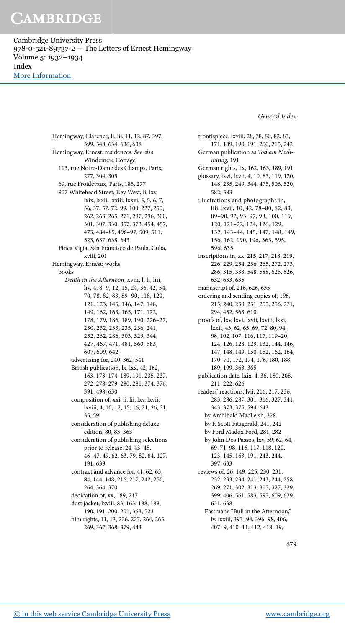Cambridge University Press 978-0-521-89737-2 — The Letters of Ernest Hemingway Volume 5: 1932–1934 Index [More Information](www.cambridge.org/9780521897372)

General Index

Hemingway, Clarence, li, lii, 11, 12, 87, 397, 399, 548, 634, 636, 638 Hemingway, Ernest: residences. See also Windemere Cottage 113, rue Notre-Dame des Champs, Paris, 277, 304, 305 69, rue Froidevaux, Paris, 185, 277 907 Whitehead Street, Key West, li, lxv, lxix, lxxii, lxxiii, lxxvi, 3, 5, 6, 7, 36, 37, 57, 72, 99, 100, 227, 250, 262, 263, 265, 271, 287, 296, 300, 301, 307, 330, 357, 373, 454, 457, 473, 484–85, 496–97, 509, 511, 523, 637, 638, 643 Finca Vigía, San Francisco de Paula, Cuba, xviii, 201 Hemingway, Ernest: works books Death in the Aternoon, xviii, l, li, liii, liv, 4, 8–9, 12, 15, 24, 36, 42, 54, 70, 78, 82, 83, 89–90, 118, 120, 121, 123, 145, 146, 147, 148, 149, 162, 163, 165, 171, 172, 178, 179, 186, 189, 190, 226–27, 230, 232, 233, 235, 236, 241, 252, 262, 286, 303, 329, 344, 427, 467, 471, 481, 560, 583, 607, 609, 642 advertising for, 240, 362, 541 British publication, lx, lxx, 42, 162, 163, 173, 174, 189, 191, 235, 237, 272, 278, 279, 280, 281, 374, 376, 391, 498, 630 composition of, xxi, li, lii, lxv, lxvii, lxviii, 4, 10, 12, 15, 16, 21, 26, 31, 35, 59 consideration of publishing deluxe edition, 80, 83, 363 consideration of publishing selections prior to release, 24, 43–45, 46–47, 49, 62, 63, 79, 82, 84, 127, 191, 639 contract and advance for, 41, 62, 63, 84, 144, 148, 216, 217, 242, 250, 264, 364, 370 dedication of, xx, 189, 217 dust jacket, lxviii, 83, 163, 188, 189, 190, 191, 200, 201, 363, 523 film rights, 11, 13, 226, 227, 264, 265, 269, 367, 368, 379, 443

frontispiece, lxviii, 28, 78, 80, 82, 83, 171, 189, 190, 191, 200, 215, 242 German publication as Tod am Nachmittag, 191 German rights, lix, 162, 163, 189, 191 glossary, lxvi, lxvii, 4, 10, 83, 119, 120, 148, 235, 249, 344, 475, 506, 520, 582, 583 illustrations and photographs in, liii, lxvii, 10, 42, 78–80, 82, 83, 89–90, 92, 93, 97, 98, 100, 119, 120, 121–22, 124, 126, 129, 132, 143–44, 145, 147, 148, 149, 156, 162, 190, 196, 363, 595, 596, 635 inscriptions in, xx, 215, 217, 218, 219, 226, 229, 254, 256, 265, 272, 273, 286, 315, 333, 548, 588, 625, 626, 632, 633, 635 manuscript of, 216, 626, 635 ordering and sending copies of, 196, 215, 240, 250, 251, 255, 256, 271, 294, 452, 563, 610 proofs of, lxv, lxvi, lxvii, lxviii, lxxi, lxxii, 43, 62, 63, 69, 72, 80, 94, 98, 102, 107, 116, 117, 119–20, 124, 126, 128, 129, 132, 144, 146, 147, 148, 149, 150, 152, 162, 164, 170–71, 172, 174, 176, 180, 188, 189, 199, 363, 365 publication date, lxix, 4, 36, 180, 208, 211, 222, 626 readers' reactions, lvii, 216, 217, 236, 283, 286, 287, 301, 316, 327, 341, 343, 373, 375, 594, 643 by Archibald MacLeish, 328 by F. Scott Fitzgerald, 241, 242 by Ford Madox Ford, 281, 282 by John Dos Passos, lxv, 59, 62, 64, 69, 71, 98, 116, 117, 118, 120, 123, 145, 163, 191, 243, 244, 397, 633 reviews of, 26, 149, 225, 230, 231, 232, 233, 234, 241, 243, 244, 258, 269, 271, 302, 313, 315, 327, 329, 399, 406, 561, 583, 595, 609, 629, 631, 638 Eastman's "Bull in the Aternoon," lv, lxxiii, 393–94, 396–98, 406, 407–9, 410–11, 412, 418–19,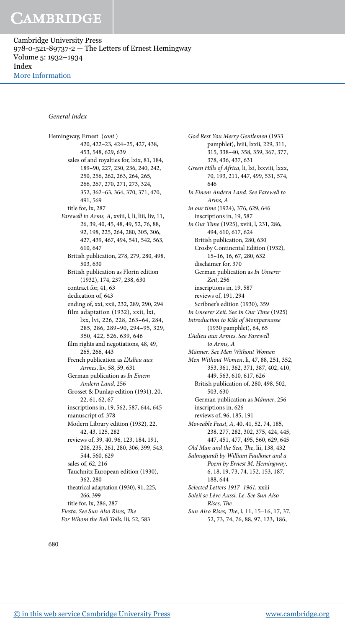Cambridge University Press 978-0-521-89737-2 — The Letters of Ernest Hemingway Volume 5: 1932–1934 Index [More Information](www.cambridge.org/9780521897372)

#### General Index

Hemingway, Ernest (cont.) 420, 422–23, 424–25, 427, 438, 453, 548, 629, 639 sales of and royalties for, lxix, 81, 184, 189–90, 227, 230, 236, 240, 242, 250, 256, 262, 263, 264, 265, 266, 267, 270, 271, 273, 324, 352, 362–63, 364, 370, 371, 470, 491, 569 title for, lx, 287 Farewell to Arms, A, xviii, l, li, liii, liv, 11, 26, 39, 40, 45, 48, 49, 52, 76, 88, 92, 198, 225, 264, 280, 305, 306, 427, 439, 467, 494, 541, 542, 563, 610, 647 British publication, 278, 279, 280, 498, 503, 630 British publication as Florin edition (1932), 174, 237, 238, 630 contract for, 41, 63 dedication of, 643 ending of, xxi, xxii, 232, 289, 290, 294 film adaptation (1932), xxii, lxi, lxx, lvi, 226, 228, 263–64, 284, 285, 286, 289–90, 294–95, 329, 350, 422, 526, 639, 646 film rights and negotiations, 48, 49, 265, 266, 443 French publication as L'Adieu aux Armes, liv, 58, 59, 631 German publication as In Einem Andern Land, 256 Grosset & Dunlap edition (1931), 20, 22, 61, 62, 67 inscriptions in, 19, 562, 587, 644, 645 manuscript of, 378 Modern Library edition (1932), 22, 42, 43, 125, 282 reviews of, 39, 40, 96, 123, 184, 191, 206, 235, 261, 280, 306, 399, 543, 544, 560, 629 sales of, 62, 216 Tauchnitz European edition (1930), 362, 280 theatrical adaptation (1930), 91, 225, 266, 399 title for, lx, 286, 287 Fiesta. See Sun Also Rises, The For Whom the Bell Tolls, lii, 52, 583

God Rest You Merry Gentlemen (1933 pamphlet), lviii, lxxii, 229, 311, 315, 338–40, 358, 359, 367, 377, 378, 436, 437, 631 Green Hills of Africa, li, lxi, lxxviii, lxxx, 70, 193, 211, 447, 499, 531, 574, 646 In Einem Andern Land. See Farewell to Arms, A in our time (1924), 376, 629, 646 inscriptions in, 19, 587 In Our Time (1925), xviii, l, 231, 286, 494, 610, 617, 624 British publication, 280, 630 Crosby Continental Edition (1932), 15–16, 16, 67, 280, 632 disclaimer for, 370 German publication as In Unserer Zeit, 256 inscriptions in, 19, 587 reviews of, 191, 294 Scribner's edition (1930), 359 In Unserer Zeit. See In Our Time (1925) Introduction to Kiki of Montparnasse (1930 pamphlet), 64, 65 L'Adieu aux Armes. See Farewell to Arms, A Männer. See Men Without Women Men Without Women, li, 47, 88, 251, 352, 353, 361, 362, 371, 387, 402, 410, 449, 563, 610, 617, 626 British publication of, 280, 498, 502, 503, 630 German publication as Männer, 256 inscriptions in, 626 reviews of, 96, 185, 191 Moveable Feast, A, 40, 41, 52, 74, 185, 238, 277, 282, 302, 375, 424, 445, 447, 451, 477, 495, 560, 629, 645 Old Man and the Sea, The, lii, 138, 432 Salmagundi by William Faulkner and a Poem by Ernest M. Hemingway, 6, 18, 19, 73, 74, 152, 153, 187, 188, 644 Selected Letters 1917–1961, xxiii Soleil se Lève Aussi, Le. See Sun Also Rises, The Sun Also Rises, The, l, 11, 15-16, 17, 37,

52, 73, 74, 76, 88, 97, 123, 186,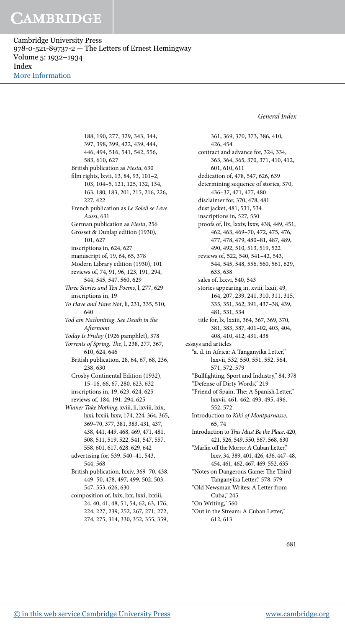Cambridge University Press 978-0-521-89737-2 — The Letters of Ernest Hemingway Volume 5: 1932–1934 Index [More Information](www.cambridge.org/9780521897372)

General Index

188, 190, 277, 329, 343, 344, 397, 398, 399, 422, 439, 444, 446, 494, 516, 541, 542, 556, 583, 610, 627 British publication as Fiesta, 630 film rights, lxvii, 13, 84, 93, 101-2, 103, 104–5, 121, 125, 132, 134, 163, 180, 183, 201, 215, 216, 226, 227, 422 French publication as Le Soleil se Lève Aussi, 631 German publication as Fiesta, 256 Grosset & Dunlap edition (1930), 101, 627 inscriptions in, 624, 627 manuscript of, 19, 64, 65, 378 Modern Library edition (1930), 101 reviews of, 74, 91, 96, 123, 191, 294, 544, 545, 547, 560, 629 hree Stories and Ten Poems, l, 277, 629 inscriptions in, 19 To Have and Have Not, li, 231, 335, 510, 640 Tod am Nachmittag. See Death in the Aternoon Today Is Friday (1926 pamphlet), 378 Torrents of Spring, The, l, 238, 277, 367, 610, 624, 646 British publication, 28, 64, 67, 68, 236, 238, 630 Crosby Continental Edition (1932), 15–16, 66, 67, 280, 623, 632 inscriptions in, 19, 623, 624, 625 reviews of, 184, 191, 294, 625 Winner Take Nothing, xviii, li, lxviii, lxix, lxxi, lxxiii, lxxv, 174, 224, 364, 365, 369–70, 377, 381, 383, 431, 437, 438, 441, 449, 468, 469, 471, 481, 508, 511, 519, 522, 541, 547, 557, 558, 601, 617, 628, 629, 642 advertising for, 539, 540–41, 543, 544, 568 British publication, lxxiv, 369–70, 438, 449–50, 478, 497, 499, 502, 503, 547, 553, 626, 630 composition of, lxix, lxx, lxxi, lxxiii, 24, 40, 41, 48, 51, 54, 62, 63, 176, 224, 227, 239, 252, 267, 271, 272,

274, 275, 314, 330, 352, 355, 359,

361, 369, 370, 373, 386, 410, 426, 454 contract and advance for, 324, 334, 363, 364, 365, 370, 371, 410, 412, 601, 610, 611 dedication of, 478, 547, 626, 639 determining sequence of stories, 370, 436–37, 471, 477, 480 disclaimer for, 370, 478, 481 dust jacket, 481, 531, 534 inscriptions in, 527, 550 proofs of, lix, lxxiv, lxxv, 438, 449, 451, 462, 463, 469–70, 472, 475, 476, 477, 478, 479, 480–81, 487, 489, 490, 492, 510, 513, 519, 522 reviews of, 522, 540, 541–42, 543, 544, 545, 548, 556, 560, 561, 629, 633, 638 sales of, lxxvi, 540, 543 stories appearing in, xviii, lxxii, 49, 164, 207, 239, 241, 310, 311, 315, 335, 351, 362, 391, 437–38, 439, 481, 531, 534 title for, lx, lxxiii, 364, 367, 369, 370, 381, 383, 387, 401–02, 403, 404, 408, 410, 412, 431, 438 essays and articles "a. d. in Africa: A Tanganyika Letter," lxxvii, 532, 550, 551, 552, 564, 571, 572, 579 "Bullighting, Sport and Industry," 84, 378 "Defense of Dirty Words," 219 "Friend of Spain, The: A Spanish Letter," lxxvii, 461, 462, 493, 495, 496, 552, 572 Introduction to Kiki of Montparnasse, 65, 74 Introduction to This Must Be the Place, 420, 421, 526, 549, 550, 567, 568, 630 "Marlin off the Morro: A Cuban Letter," lxxv, 34, 389, 401, 426, 436, 447–48, 454, 461, 462, 467, 469, 552, 635 "Notes on Dangerous Game: The Third Tanganyika Letter," 578, 579 "Old Newsman Writes: A Letter from Cuba," 245 "On Writing," 560 "Out in the Stream: A Cuban Letter," 612, 613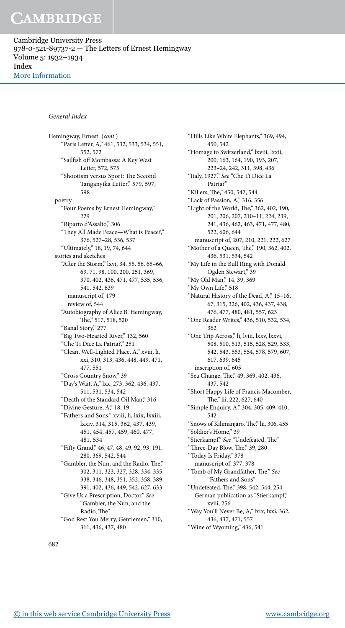Cambridge University Press 978-0-521-89737-2 — The Letters of Ernest Hemingway Volume 5: 1932–1934 Index [More Information](www.cambridge.org/9780521897372)

#### General Index

Hemingway, Ernest (cont.) "Paris Letter, A," 461, 532, 533, 534, 551, 552, 572 "Sailish of Mombassa: A Key West Letter, 572, 575 "Shootism versus Sport: The Second Tanganyika Letter," 579, 597, 598 poetry "Four Poems by Ernest Hemingway," 229 "Riparto d'Assalto," 306 "hey All Made Peace—What is Peace?," 376, 527–28, 536, 537 "Ultimately," 18, 19, 74, 644 stories and sketches "Ater the Storm," lxvi, 34, 55, 56, 65–66, 69, 71, 98, 100, 200, 251, 369, 370, 402, 436, 471, 477, 535, 536, 541, 542, 639 manuscript of, 179 review of, 544 "Autobiography of Alice B. Hemingway, he," 517, 518, 520 "Banal Story," 277 "Big Two-Hearted River," 132, 560 "Che Ti Dice La Patria?," 251 "Clean, Well-Lighted Place, A," xviii, li, xxi, 310, 313, 436, 448, 449, 471, 477, 551 "Cross Country Snow," 39 "Day's Wait, A," lxx, 273, 362, 436, 437, 511, 531, 534, 542 "Death of the Standard Oil Man," 316 "Divine Gesture, A," 18, 19 "Fathers and Sons," xviii, li, lxix, lxxiii, lxxiv, 314, 315, 362, 437, 439, 451, 454, 457, 459, 460, 477, 481, 534 "Fity Grand," 46, 47, 48, 49, 92, 93, 191, 280, 369, 542, 544 "Gambler, the Nun, and the Radio, The," 302, 311, 323, 327, 328, 334, 335, 338, 346, 348, 351, 352, 358, 389, 391, 402, 436, 449, 542, 627, 633 "Give Us a Prescription, Doctor." See "Gambler, the Nun, and the Radio, The" "God Rest You Merry, Gentlemen," 310, 311, 436, 437, 480

"Hills Like White Elephants," 369, 494, 450, 542 "Homage to Switzerland," lxviii, lxxii, 200, 163, 164, 190, 193, 207, 223–24, 242, 311, 398, 436 "Italy, 1927." See "Che Ti Dice La Patria?" "Killers, The," 450, 542, 544 "Lack of Passion, A," 316, 356 "Light of the World, The," 362, 402, 190, 201, 206, 207, 210–11, 224, 239, 241, 436, 462, 463, 471, 477, 480, 522, 606, 644 manuscript of, 207, 210, 221, 222, 627 "Mother of a Queen, The," 190, 362, 402, 436, 531, 534, 542 "My Life in the Bull Ring with Donald Ogden Stewart," 39 "My Old Man," 14, 39, 369 "My Own Life," 518 "Natural History of the Dead, A," 15–16, 67, 315, 326, 402, 436, 437, 438, 476, 477, 480, 481, 557, 623 "One Reader Writes," 436, 510, 532, 534, 362 "One Trip Across," li, lviii, lxxv, lxxvi, 508, 510, 513, 515, 528, 529, 533, 542, 543, 553, 554, 578, 579, 607, 617, 639, 645 inscription of, 605 "Sea Change, The," 49, 369, 402, 436, 437, 542 "Short Happy Life of Francis Macomber, he," lii, 222, 627, 640 "Simple Enquiry, A," 304, 305, 409, 410, 542 "Snows of Kilimanjaro, The," lii, 306, 455 "Soldier's Home," 39 "Stierkampf." See "Undefeated, The" "Three-Day Blow, The," 39, 280 "Today Is Friday," 378 manuscript of, 377, 378 "Tomb of My Grandfather, The," See "Fathers and Sons" "Undefeated, The," 398, 542, 544, 254 German publication as "Stierkampf," xviii, 256 "Way You'll Never Be, A," lxix, lxxi, 362, 436, 437, 471, 557 "Wine of Wyoming," 436, 541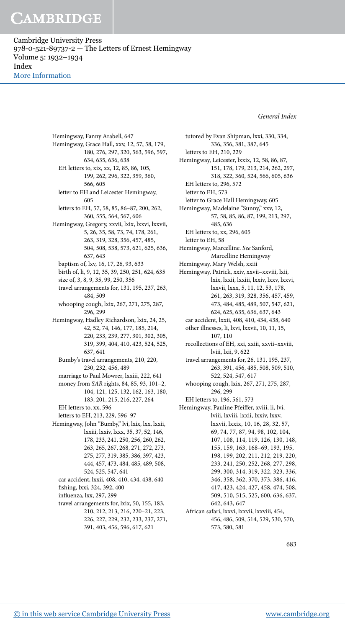Cambridge University Press 978-0-521-89737-2 — The Letters of Ernest Hemingway Volume 5: 1932–1934 Index [More Information](www.cambridge.org/9780521897372)

General Index

Hemingway, Fanny Arabell, 647 Hemingway, Grace Hall, xxv, 12, 57, 58, 179, 180, 276, 297, 320, 563, 596, 597, 634, 635, 636, 638 EH letters to, xix, xx, 12, 85, 86, 105, 199, 262, 296, 322, 359, 360, 566, 605 letter to EH and Leicester Hemingway, 605 letters to EH, 57, 58, 85, 86–87, 200, 262, 360, 555, 564, 567, 606 Hemingway, Gregory, xxvii, lxix, lxxvi, lxxvii, 5, 26, 35, 58, 73, 74, 178, 261, 263, 319, 328, 356, 457, 485, 504, 508, 538, 573, 621, 625, 636, 637, 643 baptism of, lxv, 16, 17, 26, 93, 633 birth of, li, 9, 12, 35, 39, 250, 251, 624, 635 size of, 3, 8, 9, 35, 99, 250, 356 travel arrangements for, 131, 195, 237, 263, 484, 509 whooping cough, lxix, 267, 271, 275, 287, 296, 299 Hemingway, Hadley Richardson, lxix, 24, 25, 42, 52, 74, 146, 177, 185, 214, 220, 233, 239, 277, 301, 302, 305, 319, 399, 404, 410, 423, 524, 525, 637, 641 Bumby's travel arrangements, 210, 220, 230, 232, 456, 489 marriage to Paul Mowrer, lxxiii, 222, 641 money from SAR rights, 84, 85, 93, 101–2, 104, 121, 125, 132, 162, 163, 180, 183, 201, 215, 216, 227, 264 EH letters to, xx, 596 letters to EH, 213, 229, 596–97 Hemingway, John "Bumby," lvi, lxix, lxx, lxxii, lxxiii, lxxiv, lxxx, 35, 37, 52, 146, 178, 233, 241, 250, 256, 260, 262, 263, 265, 267, 268, 271, 272, 273, 275, 277, 319, 385, 386, 397, 423, 444, 457, 473, 484, 485, 489, 508, 524, 525, 547, 641 car accident, lxxii, 408, 410, 434, 438, 640 fishing, lxxi, 324, 392, 400 influenza, lxx, 297, 299 travel arrangements for, lxix, 50, 155, 183, 210, 212, 213, 216, 220–21, 223,

226, 227, 229, 232, 233, 237, 271, 391, 403, 456, 596, 617, 621

tutored by Evan Shipman, lxxi, 330, 334, 336, 356, 381, 387, 645 letters to EH, 210, 229 Hemingway, Leicester, lxxix, 12, 58, 86, 87, 151, 178, 179, 213, 214, 262, 297, 318, 322, 360, 524, 566, 605, 636 EH letters to, 296, 572 letter to EH, 573 letter to Grace Hall Hemingway, 605 Hemingway, Madelaine "Sunny," xxv, 12, 57, 58, 85, 86, 87, 199, 213, 297, 485, 636 EH letters to, xx, 296, 605 letter to EH, 58 Hemingway, Marcelline. See Sanford, Marcelline Hemingway Hemingway, Mary Welsh, xxiii Hemingway, Patrick, xxiv, xxvii–xxviii, lxii, lxix, lxxii, lxxiii, lxxiv, lxxv, lxxvi, lxxvii, lxxx, 5, 11, 12, 53, 178, 261, 263, 319, 328, 356, 457, 459, 473, 484, 485, 489, 507, 547, 621, 624, 625, 635, 636, 637, 643 car accident, lxxii, 408, 410, 434, 438, 640 other illnesses, li, lxvi, lxxvii, 10, 11, 15, 107, 110 recollections of EH, xxi, xxiii, xxvii–xxviii, lviii, lxii, 9, 622 travel arrangements for, 26, 131, 195, 237, 263, 391, 456, 485, 508, 509, 510, 522, 524, 547, 617 whooping cough, lxix, 267, 271, 275, 287, 296, 299 EH letters to, 196, 561, 573 Hemingway, Pauline Pfeifer, xviii, li, lvi, lviii, lxviii, lxxii, lxxiv, lxxv, lxxvii, lxxix, 10, 16, 28, 32, 57, 69, 74, 77, 87, 94, 98, 102, 104, 107, 108, 114, 119, 126, 130, 148, 155, 159, 163, 168–69, 193, 195, 198, 199, 202, 211, 212, 219, 220, 233, 241, 250, 252, 268, 277, 298, 299, 300, 314, 319, 322, 323, 336, 346, 358, 362, 370, 373, 386, 416, 417, 423, 424, 427, 458, 474, 508, 509, 510, 515, 525, 600, 636, 637, 642, 643, 647 African safari, lxxvi, lxxvii, lxxviii, 454, 456, 486, 509, 514, 529, 530, 570, 573, 580, 581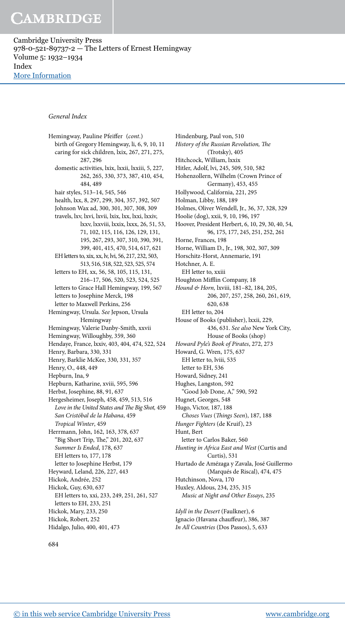Cambridge University Press 978-0-521-89737-2 — The Letters of Ernest Hemingway Volume 5: 1932–1934 Index [More Information](www.cambridge.org/9780521897372)

#### General Index

Hemingway, Pauline Pfeifer (cont.) birth of Gregory Hemingway, li, 6, 9, 10, 11 caring for sick children, lxix, 267, 271, 275, 287, 296 domestic activities, lxix, lxxii, lxxiii, 5, 227, 262, 265, 330, 373, 387, 410, 454, 484, 489 hair styles, 513–14, 545, 546 health, lxx, 8, 297, 299, 304, 357, 392, 507 Johnson Wax ad, 300, 301, 307, 308, 309 travels, lxv, lxvi, lxvii, lxix, lxx, lxxi, lxxiv, lxxv, lxxviii, lxxix, lxxx, 26, 51, 53, 71, 102, 115, 116, 126, 129, 131, 195, 267, 293, 307, 310, 390, 391, 399, 401, 415, 470, 514, 617, 621 EH letters to, xix, xx, lv, lvi, 56, 217, 232, 503, 513, 516, 518, 522, 523, 525, 574 letters to EH, xx, 56, 58, 105, 115, 131, 216–17, 506, 520, 523, 524, 525 letters to Grace Hall Hemingway, 199, 567 letters to Josephine Merck, 198 letter to Maxwell Perkins, 256 Hemingway, Ursula. See Jepson, Ursula Hemingway Hemingway, Valerie Danby-Smith, xxvii Hemingway, Willoughby, 359, 360 Hendaye, France, lxxiv, 403, 404, 474, 522, 524 Henry, Barbara, 330, 331 Henry, Barklie McKee, 330, 331, 357 Henry, O., 448, 449 Hepburn, Ina, 9 Hepburn, Katharine, xviii, 595, 596 Herbst, Josephine, 88, 91, 637 Hergesheimer, Joseph, 458, 459, 513, 516 Love in the United States and The Big Shot, 459 San Cristóbal de la Habana, 459 Tropical Winter, 459 Herrmann, John, 162, 163, 378, 637 "Big Short Trip, The," 201, 202, 637 Summer Is Ended, 178, 637 EH letters to, 177, 178 letter to Josephine Herbst, 179 Heyward, Leland, 226, 227, 443 Hickok, Andrée, 252 Hickok, Guy, 630, 637 EH letters to, xxi, 233, 249, 251, 261, 527 letters to EH, 233, 251 Hickok, Mary, 233, 250 Hickok, Robert, 252 Hidalgo, Julio, 400, 401, 473

Hindenburg, Paul von, 510 History of the Russian Revolution, The (Trotsky), 405 Hitchcock, William, lxxix Hitler, Adolf, lvi, 245, 509, 510, 582 Hohenzollern, Wilhelm (Crown Prince of Germany), 453, 455 Hollywood, California, 221, 295 Holman, Libby, 188, 189 Holmes, Oliver Wendell, Jr., 36, 37, 328, 329 Hoolie (dog), xxii, 9, 10, 196, 197 Hoover, President Herbert, 6, 10, 29, 30, 40, 54, 96, 175, 177, 245, 251, 252, 261 Horne, Frances, 198 Horne, William D., Jr., 198, 302, 307, 309 Horschitz-Horst, Annemarie, 191 Hotchner, A. E. EH letter to, xxiii Houghton Mifflin Company, 18 Hound & Horn, lxviii, 181–82, 184, 205, 206, 207, 257, 258, 260, 261, 619, 620, 638 EH letter to, 204 House of Books (publisher), lxxii, 229, 436, 631. See also New York City, House of Books (shop) Howard Pyle's Book of Pirates, 272, 273 Howard, G. Wren, 175, 637 EH letter to, lviii, 535 letter to EH, 536 Howard, Sidney, 241 Hughes, Langston, 592 "Good Job Done, A," 590, 592 Hugnet, Georges, 548 Hugo, Victor, 187, 188 Choses Vues (Things Seen), 187, 188 Hunger Fighters (de Kruif), 23 Hunt, Bert letter to Carlos Baker, 560 Hunting in Africa East and West (Curtis and Curtis), 531 Hurtado de Amézaga y Zavala, José Guillermo (Marqués de Riscal), 474, 475 Hutchinson, Nova, 170 Huxley, Aldous, 234, 235, 315 Music at Night and Other Essays, 235 Idyll in the Desert (Faulkner), 6

Ignacio (Havana chaufeur), 386, 387 In All Countries (Dos Passos), 5, 633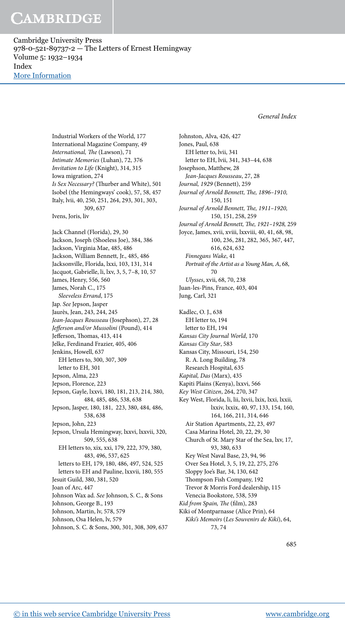Cambridge University Press 978-0-521-89737-2 — The Letters of Ernest Hemingway Volume 5: 1932–1934 Index [More Information](www.cambridge.org/9780521897372)

General Index

Industrial Workers of the World, 177 International Magazine Company, 49 International, The (Lawson), 71 Intimate Memories (Luhan), 72, 376 Invitation to Life (Knight), 314, 315 Iowa migration, 274 Is Sex Necessary? (hurber and White), 501 Isobel (the Hemingways' cook), 57, 58, 457 Italy, lvii, 40, 250, 251, 264, 293, 301, 303, 309, 637 Ivens, Joris, liv Jack Channel (Florida), 29, 30 Jackson, Joseph (Shoeless Joe), 384, 386 Jackson, Virginia Mae, 485, 486 Jackson, William Bennett, Jr., 485, 486 Jacksonville, Florida, lxxi, 103, 131, 314 Jacquot, Gabrielle, li, lxv, 3, 5, 7–8, 10, 57 James, Henry, 556, 560 James, Norah C., 175 Sleeveless Errand, 175 Jap. See Jepson, Jasper Jaurès, Jean, 243, 244, 245 Jean-Jacques Rousseau (Josephson), 27, 28 Jefferson and/or Mussolini (Pound), 414 Jefferson, Thomas, 413, 414 Jelke, Ferdinand Frazier, 405, 406 Jenkins, Howell, 637 EH letters to, 300, 307, 309 letter to EH, 301 Jepson, Alma, 223 Jepson, Florence, 223 Jepson, Gayle, lxxvi, 180, 181, 213, 214, 380, 484, 485, 486, 538, 638 Jepson, Jasper, 180, 181, 223, 380, 484, 486, 538, 638 Jepson, John, 223 Jepson, Ursula Hemingway, lxxvi, lxxvii, 320, 509, 555, 638 EH letters to, xix, xxi, 179, 222, 379, 380, 483, 496, 537, 625 letters to EH, 179, 180, 486, 497, 524, 525 letters to EH and Pauline, lxxvii, 180, 555 Jesuit Guild, 380, 381, 520 Joan of Arc, 447 Johnson Wax ad. See Johnson, S. C., & Sons Johnson, George B., 193 Johnson, Martin, lv, 578, 579 Johnson, Osa Helen, lv, 579 Johnson, S. C. & Sons, 300, 301, 308, 309, 637 Johnston, Alva, 426, 427 Jones, Paul, 638 EH letter to, lvii, 341 letter to EH, lvii, 341, 343–44, 638 Josephson, Matthew, 28 Jean-Jacques Rousseau, 27, 28 Journal, 1929 (Bennett), 259 Journal of Arnold Bennett, The, 1896-1910, 150, 151 Journal of Arnold Bennett, The, 1911-1920, 150, 151, 258, 259 Journal of Arnold Bennett, The, 1921-1928, 259 Joyce, James, xvii, xviii, lxxviii, 40, 41, 68, 98, 100, 236, 281, 282, 365, 367, 447, 616, 624, 632 Finnegans Wake, 41 Portrait of the Artist as a Young Man, A, 68, 70 Ulysses, xvii, 68, 70, 238 Juan-les-Pins, France, 403, 404 Jung, Carl, 321 Kadlec, O. J., 638 EH letter to, 194 letter to EH, 194 Kansas City Journal World, 170 Kansas City Star, 583 Kansas City, Missouri, 154, 250 R. A. Long Building, 78 Research Hospital, 635 Kapital, Das (Marx), 435 Kapiti Plains (Kenya), lxxvi, 566 Key West Citizen, 264, 270, 347 Key West, Florida, li, lii, lxvii, lxix, lxxi, lxxii, lxxiv, lxxix, 40, 97, 133, 154, 160, 164, 166, 211, 314, 646 Air Station Apartments, 22, 23, 497 Casa Marina Hotel, 20, 22, 29, 30 Church of St. Mary Star of the Sea, lxv, 17, 93, 380, 633 Key West Naval Base, 23, 94, 96 Over Sea Hotel, 3, 5, 19, 22, 275, 276 Sloppy Joe's Bar, 34, 130, 642 hompson Fish Company, 192 Trevor & Morris Ford dealership, 115 Venecia Bookstore, 538, 539 Kid from Spain, The (film), 283 Kiki of Montparnasse (Alice Prin), 64 Kiki's Memoirs (Les Souvenirs de Kiki), 64, 73, 74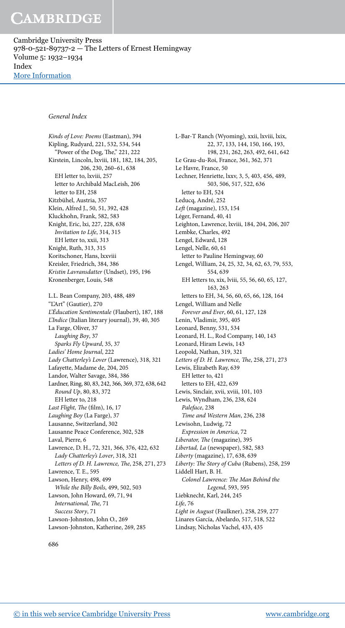Cambridge University Press 978-0-521-89737-2 — The Letters of Ernest Hemingway Volume 5: 1932–1934 Index [More Information](www.cambridge.org/9780521897372)

#### General Index

Kinds of Love: Poems (Eastman), 394 Kipling, Rudyard, 221, 532, 534, 544 "Power of the Dog, The," 221, 222 Kirstein, Lincoln, lxviii, 181, 182, 184, 205, 206, 230, 260–61, 638 EH letter to, lxviii, 257 letter to Archibald MacLeish, 206 letter to EH, 258 Kitzbühel, Austria, 357 Klein, Alfred J., 50, 51, 392, 428 Kluckhohn, Frank, 582, 583 Knight, Eric, lxi, 227, 228, 638 Invitation to Life, 314, 315 EH letter to, xxii, 313 Knight, Ruth, 313, 315 Koritschoner, Hans, lxxviii Kreisler, Friedrich, 384, 386 Kristin Lavransdatter (Undset), 195, 196 Kronenberger, Louis, 548 L.L. Bean Company, 203, 488, 489 "L'Art" (Gautier), 270 L'Éducation Sentimentale (Flaubert), 187, 188 L'Indice (Italian literary journal), 39, 40, 305 La Farge, Oliver, 37 Laughing Boy, 37 Sparks Fly Upward, 35, 37 Ladies' Home Journal, 222 Lady Chatterley's Lover (Lawrence), 318, 321 Lafayette, Madame de, 204, 205 Landor, Walter Savage, 384, 386 Lardner, Ring, 80, 83, 242, 366, 369, 372, 638, 642 Round Up, 80, 83, 372 EH letter to, 218 Last Flight, The (film), 16, 17 Laughing Boy (La Farge), 37 Lausanne, Switzerland, 302 Lausanne Peace Conference, 302, 528 Laval, Pierre, 6 Lawrence, D. H., 72, 321, 366, 376, 422, 632 Lady Chatterley's Lover, 318, 321 Letters of D. H. Lawrence, The, 258, 271, 273 Lawrence, T. E., 595 Lawson, Henry, 498, 499 While the Billy Boils, 499, 502, 503 Lawson, John Howard, 69, 71, 94 International, The, 71 Success Story, 71 Lawson-Johnston, John O., 269 Lawson-Johnston, Katherine, 269, 285

L-Bar-T Ranch (Wyoming), xxii, lxviii, lxix, 22, 37, 133, 144, 150, 166, 193, 198, 231, 262, 263, 492, 641, 642 Le Grau-du-Roi, France, 361, 362, 371 Le Havre, France, 50 Lechner, Henriette, lxxv, 3, 5, 403, 456, 489, 503, 506, 517, 522, 636 letter to EH, 524 Leducq, André, 252  $Left$  (magazine), 153, 154 Léger, Fernand, 40, 41 Leighton, Lawrence, lxviii, 184, 204, 206, 207 Lembke, Charles, 492 Lengel, Edward, 128 Lengel, Nelle, 60, 61 letter to Pauline Hemingway, 60 Lengel, William, 24, 25, 32, 34, 62, 63, 79, 553, 554, 639 EH letters to, xix, lviii, 55, 56, 60, 65, 127, 163, 263 letters to EH, 34, 56, 60, 65, 66, 128, 164 Lengel, William and Nelle Forever and Ever, 60, 61, 127, 128 Lenin, Vladimir, 395, 405 Leonard, Benny, 531, 534 Leonard, H. L., Rod Company, 140, 143 Leonard, Hiram Lewis, 143 Leopold, Nathan, 319, 321 Letters of D. H. Lawrence, The, 258, 271, 273 Lewis, Elizabeth Ray, 639 EH letter to, 421 letters to EH, 422, 639 Lewis, Sinclair, xvii, xviii, 101, 103 Lewis, Wyndham, 236, 238, 624 Paleface, 238 Time and Western Man, 236, 238 Lewisohn, Ludwig, 72 Expression in America, 72 Liberator, The (magazine), 395 Libertad, La (newspaper), 582, 583 Liberty (magazine), 17, 638, 639 Liberty: The Story of Cuba (Rubens), 258, 259 Liddell Hart, B. H. Colonel Lawrence: The Man Behind the Legend, 593, 595 Liebknecht, Karl, 244, 245 Life, 76 Light in August (Faulkner), 258, 259, 277 Linares García, Abelardo, 517, 518, 522 Lindsay, Nicholas Vachel, 433, 435

686

[© in this web service Cambridge University Press](www.cambridge.org) www.cambridge.org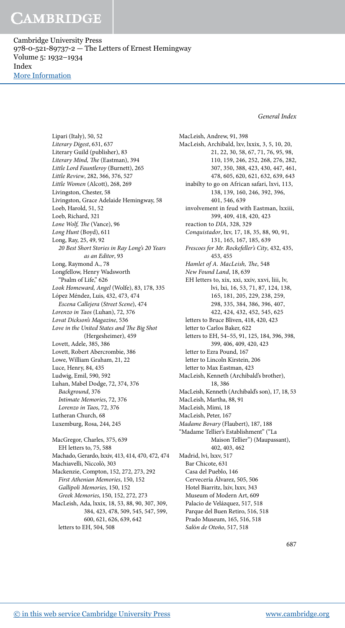Cambridge University Press 978-0-521-89737-2 — The Letters of Ernest Hemingway Volume 5: 1932–1934 Index [More Information](www.cambridge.org/9780521897372)

General Index

Lipari (Italy), 50, 52 Literary Digest, 631, 637 Literary Guild (publisher), 83 Literary Mind, The (Eastman), 394 Little Lord Fauntleroy (Burnett), 265 Little Review, 282, 366, 376, 527 Little Women (Alcott), 268, 269 Livingston, Chester, 58 Livingston, Grace Adelaide Hemingway, 58 Loeb, Harold, 51, 52 Loeb, Richard, 321 Lone Wolf, The (Vance), 96 Long Hunt (Boyd), 611 Long, Ray, 25, 49, 92 20 Best Short Stories in Ray Long's 20 Years as an Editor, 93 Long, Raymond A., 78 Longfellow, Henry Wadsworth "Psalm of Life," 626 Look Homeward, Angel (Wolfe), 83, 178, 335 López Méndez, Luis, 432, 473, 474 Escena Callejera (Street Scene), 474 Lorenzo in Taos (Luhan), 72, 376 Lovat Dickson's Magazine, 536 Love in the United States and The Big Shot (Hergesheimer), 459 Lovett, Adele, 385, 386 Lovett, Robert Abercrombie, 386 Lowe, William Graham, 21, 22 Luce, Henry, 84, 435 Ludwig, Emil, 590, 592 Luhan, Mabel Dodge, 72, 374, 376 Background, 376 Intimate Memories, 72, 376 Lorenzo in Taos, 72, 376 Lutheran Church, 68 Luxemburg, Rosa, 244, 245 MacGregor, Charles, 375, 639 EH letters to, 75, 588 Machado, Gerardo, lxxiv, 413, 414, 470, 472, 474 Machiavelli, Niccolò, 303 Mackenzie, Compton, 152, 272, 273, 292 First Athenian Memories, 150, 152 Gallipoli Memories, 150, 152 Greek Memories, 150, 152, 272, 273

MacLeish, Ada, lxxix, 18, 53, 88, 90, 307, 309, 384, 423, 478, 509, 545, 547, 599, 600, 621, 626, 639, 642 letters to EH, 504, 508

MacLeish, Andrew, 91, 398 MacLeish, Archibald, lxv, lxxix, 3, 5, 10, 20, 21, 22, 30, 58, 67, 71, 76, 95, 98, 110, 159, 246, 252, 268, 276, 282, 307, 350, 388, 423, 430, 447, 461, 478, 605, 620, 621, 632, 639, 643 inabilty to go on African safari, lxvi, 113, 138, 139, 160, 246, 392, 396, 401, 546, 639 involvement in feud with Eastman, lxxiii, 399, 409, 418, 420, 423 reaction to DIA, 328, 329 Conquistador, lxv, 17, 18, 35, 88, 90, 91, 131, 165, 167, 185, 639 Frescoes for Mr. Rockefeller's City, 432, 435, 453, 455 Hamlet of A. MacLeish, The, 548 New Found Land, 18, 639 EH letters to, xix, xxi, xxiv, xxvi, liii, lv, lvi, lxi, 16, 53, 71, 87, 124, 138, 165, 181, 205, 229, 238, 259, 298, 335, 384, 386, 396, 407, 422, 424, 432, 452, 545, 625 letters to Bruce Bliven, 418, 420, 423 letter to Carlos Baker, 622 letters to EH, 54–55, 91, 125, 184, 396, 398, 399, 406, 409, 420, 423 letter to Ezra Pound, 167 letter to Lincoln Kirstein, 206 letter to Max Eastman, 423 MacLeish, Kenneth (Archibald's brother), 18, 386 MacLeish, Kenneth (Archibald's son), 17, 18, 53 MacLeish, Martha, 88, 91 MacLeish, Mimi, 18 MacLeish, Peter, 167 Madame Bovary (Flaubert), 187, 188 "Madame Tellier's Establishment" ("La Maison Tellier") (Maupassant), 402, 403, 462 Madrid, lvi, lxxv, 517 Bar Chicote, 631 Casa del Pueblo, 146 Cervecería Álvarez, 505, 506 Hotel Biarritz, lxiv, lxxv, 343 Museum of Modern Art, 609 Palacio de Velázquez, 517, 518 Parque del Buen Retiro, 516, 518 Prado Museum, 165, 516, 518 Salón de Otoño, 517, 518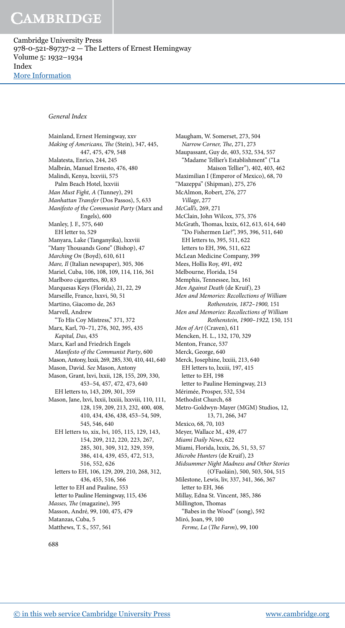Cambridge University Press 978-0-521-89737-2 — The Letters of Ernest Hemingway Volume 5: 1932–1934 Index [More Information](www.cambridge.org/9780521897372)

#### General Index

Mainland, Ernest Hemingway, xxv Making of Americans, The (Stein), 347, 445, 447, 475, 479, 548 Malatesta, Enrico, 244, 245 Malbrán, Manuel Ernesto, 476, 480 Malindi, Kenya, lxxviii, 575 Palm Beach Hotel, lxxviii Man Must Fight, A (Tunney), 291 Manhattan Transfer (Dos Passos), 5, 633 Manifesto of the Communist Party (Marx and Engels), 600 Manley, J. F., 575, 640 EH letter to, 529 Manyara, Lake (Tanganyika), lxxviii "Many Thousands Gone" (Bishop), 47 Marching On (Boyd), 610, 611 Mare, Il (Italian newspaper), 305, 306 Mariel, Cuba, 106, 108, 109, 114, 116, 361 Marlboro cigarettes, 80, 83 Marquesas Keys (Florida), 21, 22, 29 Marseille, France, lxxvi, 50, 51 Martino, Giacomo de, 263 Marvell, Andrew "To His Coy Mistress," 371, 372 Marx, Karl, 70–71, 276, 302, 395, 435 Kapital, Das, 435 Marx, Karl and Friedrich Engels Manifesto of the Communist Party, 600 Mason, Antony, lxxii, 269, 285, 330, 410, 441, 640 Mason, David. See Mason, Antony Mason, Grant, lxvi, lxxii, 128, 155, 209, 330, 453–54, 457, 472, 473, 640 EH letters to, 143, 209, 301, 359 Mason, Jane, lxvi, lxxii, lxxiii, lxxviii, 110, 111, 128, 159, 209, 213, 232, 400, 408, 410, 434, 436, 438, 453–54, 509, 545, 546, 640 EH letters to, xix, lvi, 105, 115, 129, 143, 154, 209, 212, 220, 223, 267, 285, 301, 309, 312, 329, 359, 386, 414, 439, 455, 472, 513, 516, 552, 626 letters to EH, 106, 129, 209, 210, 268, 312, 436, 455, 516, 566 letter to EH and Pauline, 553 letter to Pauline Hemingway, 115, 436 Masses, The (magazine), 395 Masson, André, 99, 100, 475, 479 Matanzas, Cuba, 5 Matthews, T. S., 557, 561

Maugham, W. Somerset, 273, 504 Narrow Corner, The, 271, 273 Maupassant, Guy de, 403, 532, 534, 557 "Madame Tellier's Establishment" ("La Maison Tellier"), 402, 403, 462 Maximilian I (Emperor of Mexico), 68, 70 "Mazeppa" (Shipman), 275, 276 McAlmon, Robert, 276, 277 Village, 277 McCall's, 269, 271 McClain, John Wilcox, 375, 376 McGrath, Thomas, lxxix, 612, 613, 614, 640 "Do Fishermen Lie?", 395, 396, 511, 640 EH letters to, 395, 511, 622 letters to EH, 396, 511, 622 McLean Medicine Company, 399 Mees, Hollis Roy, 491, 492 Melbourne, Florida, 154 Memphis, Tennessee, lxx, 161 Men Against Death (de Kruif), 23 Men and Memories: Recollections of William Rothenstein, 1872–1900, 151 Men and Memories: Recollections of William Rothenstein, 1900–1922, 150, 151 Men of Art (Craven), 611 Mencken, H. L., 132, 170, 329 Menton, France, 537 Merck, George, 640 Merck, Josephine, lxxiii, 213, 640 EH letters to, lxxiii, 197, 415 letter to EH, 198 letter to Pauline Hemingway, 213 Mérimée, Prosper, 532, 534 Methodist Church, 68 Metro-Goldwyn-Mayer (MGM) Studios, 12, 13, 71, 266, 347 Mexico, 68, 70, 103 Meyer, Wallace M., 439, 477 Miami Daily News, 622 Miami, Florida, lxxix, 26, 51, 53, 57 Microbe Hunters (de Kruif), 23 Midsummer Night Madness and Other Stories (O'Faoláin), 500, 503, 504, 515 Milestone, Lewis, liv, 337, 341, 366, 367 letter to EH, 366 Millay, Edna St. Vincent, 385, 386 Millington, Thomas "Babes in the Wood" (song), 592 Miró, Joan, 99, 100

Ferme, La (The Farm), 99, 100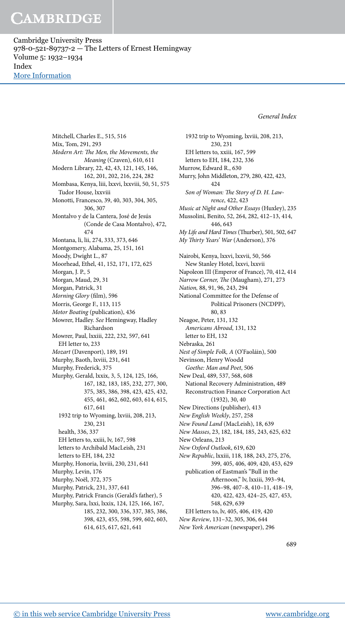Cambridge University Press 978-0-521-89737-2 — The Letters of Ernest Hemingway Volume 5: 1932–1934 Index [More Information](www.cambridge.org/9780521897372)

General Index

Mitchell, Charles E., 515, 516 Mix, Tom, 291, 293 Modern Art: The Men, the Movements, the Meaning (Craven), 610, 611 Modern Library, 22, 42, 43, 121, 145, 146, 162, 201, 202, 216, 224, 282 Mombasa, Kenya, liii, lxxvi, lxxviii, 50, 51, 575 Tudor House, lxxviii Monotti, Francesco, 39, 40, 303, 304, 305, 306, 307 Montalvo y de la Cantera, José de Jesús (Conde de Casa Montalvo), 472, 474 Montana, li, lii, 274, 333, 373, 646 Montgomery, Alabama, 25, 151, 161 Moody, Dwight L., 87 Moorhead, Ethel, 41, 152, 171, 172, 625 Morgan, J. P., 5 Morgan, Maud, 29, 31 Morgan, Patrick, 31 Morning Glory (film), 596 Morris, George F., 113, 115 Motor Boating (publication), 436 Mowrer, Hadley. See Hemingway, Hadley Richardson Mowrer, Paul, lxxiii, 222, 232, 597, 641 EH letter to, 233 Mozart (Davenport), 189, 191 Murphy, Baoth, lxviii, 231, 641 Murphy, Frederick, 375 Murphy, Gerald, lxxix, 3, 5, 124, 125, 166, 167, 182, 183, 185, 232, 277, 300, 375, 385, 386, 398, 423, 425, 432, 455, 461, 462, 602, 603, 614, 615, 617, 641 1932 trip to Wyoming, lxviii, 208, 213, 230, 231 health, 336, 337 EH letters to, xxiii, lv, 167, 598 letters to Archibald MacLeish, 231 letters to EH, 184, 232 Murphy, Honoria, lxviii, 230, 231, 641 Murphy, Levin, 176 Murphy, Noël, 372, 375 Murphy, Patrick, 231, 337, 641 Murphy, Patrick Francis (Gerald's father), 5 Murphy, Sara, lxxi, lxxix, 124, 125, 166, 167, 185, 232, 300, 336, 337, 385, 386, 398, 423, 455, 598, 599, 602, 603, 614, 615, 617, 621, 641

1932 trip to Wyoming, lxviii, 208, 213, 230, 231 EH letters to, xxiii, 167, 599 letters to EH, 184, 232, 336 Murrow, Edward R., 630 Murry, John Middleton, 279, 280, 422, 423, 424 Son of Woman: The Story of D. H. Lawrence, 422, 423 Music at Night and Other Essays (Huxley), 235 Mussolini, Benito, 52, 264, 282, 412–13, 414, 446, 643 My Life and Hard Times (Thurber), 501, 502, 647 My Thirty Years' War (Anderson), 376 Nairobi, Kenya, lxxvi, lxxvii, 50, 566 New Stanley Hotel, lxxvi, lxxvii Napoleon III (Emperor of France), 70, 412, 414 Narrow Corner, The (Maugham), 271, 273 Nation, 88, 91, 96, 243, 294 National Committee for the Defense of Political Prisoners (NCDPP), 80, 83 Neagoe, Peter, 131, 132 Americans Abroad, 131, 132 letter to EH, 132 Nebraska, 261 Nest of Simple Folk, A (O'Faoláin), 500 Nevinson, Henry Woodd Goethe: Man and Poet, 506 New Deal, 489, 537, 568, 608 National Recovery Administration, 489 Reconstruction Finance Corporation Act (1932), 30, 40 New Directions (publisher), 413 New English Weekly, 257, 258 New Found Land (MacLeish), 18, 639 New Masses, 23, 182, 184, 185, 243, 625, 632 New Orleans, 213 New Oxford Outlook, 619, 620 New Republic, lxxiii, 118, 188, 243, 275, 276, 399, 405, 406, 409, 420, 453, 629 publication of Eastman's "Bull in the Aternoon," lv, lxxiii, 393–94, 396–98, 407–8, 410–11, 418–19, 420, 422, 423, 424–25, 427, 453, 548, 629, 639 EH letters to, lv, 405, 406, 419, 420 New Review, 131–32, 305, 306, 644 New York American (newspaper), 296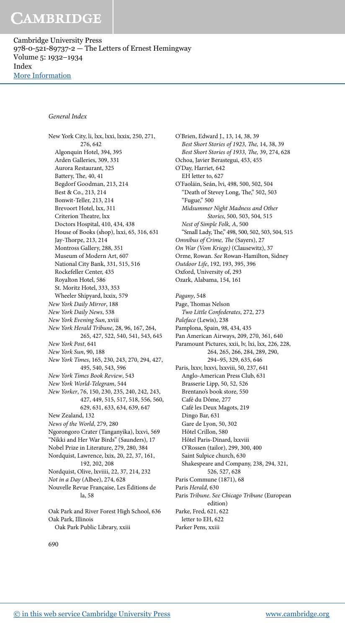Cambridge University Press 978-0-521-89737-2 — The Letters of Ernest Hemingway Volume 5: 1932–1934 Index [More Information](www.cambridge.org/9780521897372)

#### General Index

New York City, li, lxx, lxxi, lxxix, 250, 271, 276, 642 Algonquin Hotel, 394, 395 Arden Galleries, 309, 331 Aurora Restaurant, 325 Battery, The, 40, 41 Begdorf Goodman, 213, 214 Best & Co., 213, 214 Bonwit-Teller, 213, 214 Brevoort Hotel, lxx, 311 Criterion Theatre, lxx Doctors Hospital, 410, 434, 438 House of Books (shop), lxxi, 65, 316, 631 Jay-Thorpe, 213, 214 Montross Gallery, 288, 351 Museum of Modern Art, 607 National City Bank, 331, 515, 516 Rockefeller Center, 435 Royalton Hotel, 586 St. Moritz Hotel, 333, 353 Wheeler Shipyard, lxxix, 579 New York Daily Mirror, 188 New York Daily News, 538 New York Evening Sun, xviii New York Herald Tribune, 28, 96, 167, 264, 265, 427, 522, 540, 541, 543, 645 New York Post, 641 New York Sun, 90, 188 New York Times, 165, 230, 243, 270, 294, 427, 495, 540, 543, 596 New York Times Book Review, 543 New York World-Telegram, 544 New Yorker, 76, 150, 230, 235, 240, 242, 243, 427, 449, 515, 517, 518, 556, 560, 629, 631, 633, 634, 639, 647 New Zealand, 132 News of the World, 279, 280 Ngorongoro Crater (Tanganyika), lxxvi, 569 "Nikki and Her War Birds" (Saunders), 17 Nobel Prize in Literature, 279, 280, 384 Nordquist, Lawrence, lxix, 20, 22, 37, 161, 192, 202, 208 Nordquist, Olive, lxviiii, 22, 37, 214, 232 Not in a Day (Albee), 274, 628 Nouvelle Revue Française, Les Éditions de la, 58 Oak Park and River Forest High School, 636 Oak Park, Illinois

Oak Park Public Library, xxiii

O'Brien, Edward J., 13, 14, 38, 39 Best Short Stories of 1923, The, 14, 38, 39 Best Short Stories of 1933, The, 39, 274, 628 Ochoa, Javier Berastegui, 453, 455 O'Day, Harriet, 642 EH letter to, 627 O'Faoláin, Seán, lvi, 498, 500, 502, 504 "Death of Stevey Long, The," 502, 503 "Fugue," 500 Midsummer Night Madness and Other Stories, 500, 503, 504, 515 Nest of Simple Folk, A, 500 "Small Lady, The," 498, 500, 502, 503, 504, 515 Omnibus of Crime, The (Sayers), 27 On War (Vom Kriege) (Clausewitz), 37 Orme, Rowan. See Rowan-Hamilton, Sidney Outdoor Life, 192, 193, 395, 396 Oxford, University of, 293 Ozark, Alabama, 154, 161 Pagany, 548 Page, Thomas Nelson Two Little Confederates, 272, 273 Paleface (Lewis), 238 Pamplona, Spain, 98, 434, 435 Pan American Airways, 209, 270, 361, 640 Paramount Pictures, xxii, lv, lxi, lxx, 226, 228, 264, 265, 266, 284, 289, 290, 294–95, 329, 635, 646 Paris, lxxv, lxxvi, lxxviii, 50, 237, 641 Anglo-American Press Club, 631 Brasserie Lipp, 50, 52, 526 Brentano's book store, 550 Café du Dôme, 277 Café les Deux Magots, 219 Dingo Bar, 631 Gare de Lyon, 50, 302 Hôtel Crillon, 580 Hôtel Paris-Dinard, lxxviii O'Rossen (tailor), 299, 300, 400 Saint Sulpice church, 630 Shakespeare and Company, 238, 294, 321, 526, 527, 628 Paris Commune (1871), 68 Paris Herald, 630 Paris Tribune. See Chicago Tribune (European edition) Parke, Fred, 621, 622 letter to EH, 622

Parker Pens, xxiii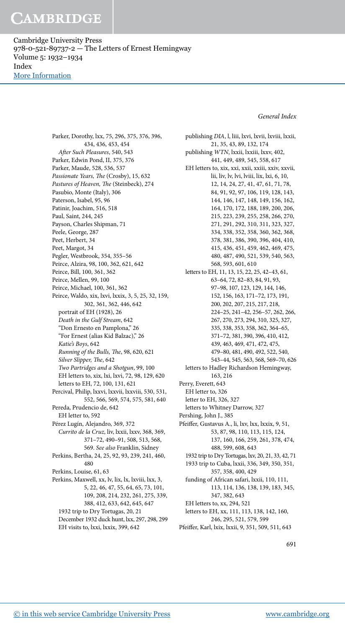Cambridge University Press 978-0-521-89737-2 — The Letters of Ernest Hemingway Volume 5: 1932–1934 Index [More Information](www.cambridge.org/9780521897372)

#### General Index

Parker, Dorothy, lxx, 75, 296, 375, 376, 396, 434, 436, 453, 454 Ater Such Pleasures, 540, 543 Parker, Edwin Pond, II, 375, 376 Parker, Maude, 528, 536, 537 Passionate Years, The (Crosby), 15, 632 Pastures of Heaven, The (Steinbeck), 274 Pasubio, Monte (Italy), 306 Paterson, Isabel, 95, 96 Patinir, Joachim, 516, 518 Paul, Saint, 244, 245 Payson, Charles Shipman, 71 Peele, George, 287 Peet, Herbert, 34 Peet, Margot, 34 Pegler, Westbrook, 354, 355–56 Peirce, Alzira, 98, 100, 362, 621, 642 Peirce, Bill, 100, 361, 362 Peirce, Mellen, 99, 100 Peirce, Michael, 100, 361, 362 Peirce, Waldo, xix, lxvi, lxxix, 3, 5, 25, 32, 159, 302, 361, 362, 446, 642 portrait of EH (1928), 26 Death in the Gulf Stream, 642 "Don Ernesto en Pamplona," 26 "For Ernest (alias Kid Balzac)," 26 Katie's Boys, 642 Running of the Bulls, The, 98, 620, 621 Silver Slipper, The, 642 Two Partridges and a Shotgun, 99, 100 EH letters to, xix, lxi, lxvi, 72, 98, 129, 620 letters to EH, 72, 100, 131, 621 Percival, Philip, lxxvi, lxxvii, lxxviii, 530, 531, 552, 566, 569, 574, 575, 581, 640 Pereda, Prudencio de, 642 EH letter to, 592 Pérez Lugín, Alejandro, 369, 372 Currito de la Cruz, liv, lxxii, lxxv, 368, 369, 371–72, 490–91, 508, 513, 568, 569. See also Franklin, Sidney Perkins, Bertha, 24, 25, 92, 93, 239, 241, 460, 480 Perkins, Louise, 61, 63 Perkins, Maxwell, xx, lv, lix, lx, lxviii, lxx, 3, 5, 22, 46, 47, 55, 64, 65, 73, 101, 109, 208, 214, 232, 261, 275, 339, 388, 412, 633, 642, 645, 647 1932 trip to Dry Tortugas, 20, 21 December 1932 duck hunt, lxx, 297, 298, 299 EH visits to, lxxi, lxxix, 399, 642

publishing DIA, l, liii, lxvi, lxvii, lxviii, lxxii, 21, 35, 43, 89, 132, 174 publishing WTN, lxxii, lxxiii, lxxv, 402, 441, 449, 489, 545, 558, 617 EH letters to, xix, xxi, xxii, xxiii, xxiv, xxvii, lii, liv, lv, lvi, lviii, lix, lxi, 6, 10, 12, 14, 24, 27, 41, 47, 61, 71, 78, 84, 91, 92, 97, 106, 119, 128, 143, 144, 146, 147, 148, 149, 156, 162, 164, 170, 172, 188, 189, 200, 206, 215, 223, 239, 255, 258, 266, 270, 271, 291, 292, 310, 311, 323, 327, 334, 338, 352, 358, 360, 362, 368, 378, 381, 386, 390, 396, 404, 410, 415, 436, 451, 459, 462, 469, 475, 480, 487, 490, 521, 539, 540, 563, 568, 593, 601, 610 letters to EH, 11, 13, 15, 22, 25, 42–43, 61, 63–64, 72, 82–83, 84, 91, 93, 97–98, 107, 123, 129, 144, 146, 152, 156, 163, 171–72, 173, 191, 200, 202, 207, 215, 217, 218, 224–25, 241–42, 256–57, 262, 266, 267, 270, 273, 294, 310, 325, 327, 335, 338, 353, 358, 362, 364–65, 371–72, 381, 390, 396, 410, 412, 439, 463, 469, 471, 472, 475, 479–80, 481, 490, 492, 522, 540, 543–44, 545, 563, 568, 569–70, 626 letters to Hadley Richardson Hemingway, 163, 216 Perry, Everett, 643 EH letter to, 326 letter to EH, 326, 327 letters to Whitney Darrow, 327 Pershing, John J., 385 Pfeifer, Gustavus A., li, lxv, lxx, lxxix, 9, 51, 53, 87, 98, 110, 113, 115, 124, 137, 160, 166, 259, 261, 378, 474, 488, 599, 608, 643 1932 trip to Dry Tortugas, lxv, 20, 21, 33, 42, 71 1933 trip to Cuba, lxxii, 336, 349, 350, 351, 357, 358, 400, 429 funding of African safari, lxxii, 110, 111, 113, 114, 136, 138, 139, 183, 345, 347, 382, 643 EH letters to, xx, 294, 521 letters to EH, xx, 111, 113, 138, 142, 160, 246, 295, 521, 579, 599 Pfeifer, Karl, lxix, lxxii, 9, 351, 509, 511, 643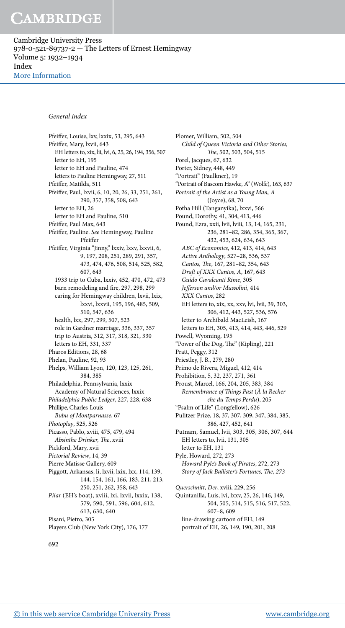Cambridge University Press 978-0-521-89737-2 — The Letters of Ernest Hemingway Volume 5: 1932–1934 Index [More Information](www.cambridge.org/9780521897372)

#### General Index

Pfeifer, Louise, lxv, lxxix, 53, 295, 643 Pfeifer, Mary, lxvii, 643 EH letters to, xix, lii, lvi, 6, 25, 26, 194, 356, 507 letter to EH, 195 letter to EH and Pauline, 474 letters to Pauline Hemingway, 27, 511 Pfeifer, Matilda, 511 Pfeifer, Paul, lxvii, 6, 10, 20, 26, 33, 251, 261, 290, 357, 358, 508, 643 letter to EH, 26 letter to EH and Pauline, 510 Pfeifer, Paul Max, 643 Pfeifer, Pauline. See Hemingway, Pauline Pfeifer Pfeifer, Virginia "Jinny," lxxiv, lxxv, lxxvii, 6, 9, 197, 208, 251, 289, 291, 357, 473, 474, 476, 508, 514, 525, 582, 607, 643 1933 trip to Cuba, lxxiv, 452, 470, 472, 473 barn remodeling and fire, 297, 298, 299 caring for Hemingway children, lxvii, lxix, lxxvi, lxxvii, 195, 196, 485, 509, 510, 547, 636 health, lxx, 297, 299, 507, 523 role in Gardner marriage, 336, 337, 357 trip to Austria, 312, 317, 318, 321, 330 letters to EH, 331, 337 Pharos Editions, 28, 68 Phelan, Pauline, 92, 93 Phelps, William Lyon, 120, 123, 125, 261, 384, 385 Philadelphia, Pennsylvania, lxxix Academy of Natural Sciences, lxxix Philadelphia Public Ledger, 227, 228, 638 Phillipe, Charles-Louis Bubu of Montparnasse, 67 Photoplay, 525, 526 Picasso, Pablo, xviii, 475, 479, 494 Absinthe Drinker, The, xviii Pickford, Mary, xvii Pictorial Review, 14, 39 Pierre Matisse Gallery, 609 Piggott, Arkansas, li, lxvii, lxix, lxx, 114, 139, 144, 154, 161, 166, 183, 211, 213, 250, 251, 262, 358, 643 Pilar (EH's boat), xviii, lxi, lxvii, lxxix, 138, 579, 590, 591, 596, 604, 612, 613, 630, 640 Pisani, Pietro, 305 Players Club (New York City), 176, 177

Plomer, William, 502, 504 Child of Queen Victoria and Other Stories, he, 502, 503, 504, 515 Porel, Jacques, 67, 632 Porter, Sidney, 448, 449 "Portrait" (Faulkner), 19 "Portrait of Bascom Hawke, A" (Wolfe), 163, 637 Portrait of the Artist as a Young Man, A (Joyce), 68, 70 Potha Hill (Tanganyika), lxxvi, 566 Pound, Dorothy, 41, 304, 413, 446 Pound, Ezra, xxii, lvii, lviii, 13, 14, 165, 231, 236, 281–82, 286, 354, 365, 367, 432, 453, 624, 634, 643 ABC of Economics, 412, 413, 414, 643 Active Anthology, 527–28, 536, 537 Cantos, The, 167, 281-82, 354, 643 Draft of XXX Cantos, A, 167, 643 Guido Cavalcanti Rime, 305 Jeferson and/or Mussolini, 414 XXX Cantos, 282 EH letters to, xix, xx, xxv, lvi, lvii, 39, 303, 306, 412, 443, 527, 536, 576 letter to Archibald MacLeish, 167 letters to EH, 305, 413, 414, 443, 446, 529 Powell, Wyoming, 195 "Power of the Dog, The" (Kipling), 221 Pratt, Peggy, 312 Priestley, J. B., 279, 280 Primo de Rivera, Miguel, 412, 414 Prohibition, 5, 32, 237, 271, 361 Proust, Marcel, 166, 204, 205, 383, 384 Remembrance of Things Past (À la Recherche du Temps Perdu), 205 "Psalm of Life" (Longfellow), 626 Pulitzer Prize, 18, 37, 307, 309, 347, 384, 385, 386, 427, 452, 641 Putnam, Samuel, lvii, 303, 305, 306, 307, 644 EH letters to, lvii, 131, 305 letter to EH, 131 Pyle, Howard, 272, 273 Howard Pyle's Book of Pirates, 272, 273 Story of Jack Ballister's Fortunes, The, 273 Querschnitt, Der, xviii, 229, 256 Quintanilla, Luis, lvi, lxxv, 25, 26, 146, 149, 504, 505, 514, 515, 516, 517, 522, 607–8, 609 line-drawing cartoon of EH, 149

portrait of EH, 26, 149, 190, 201, 208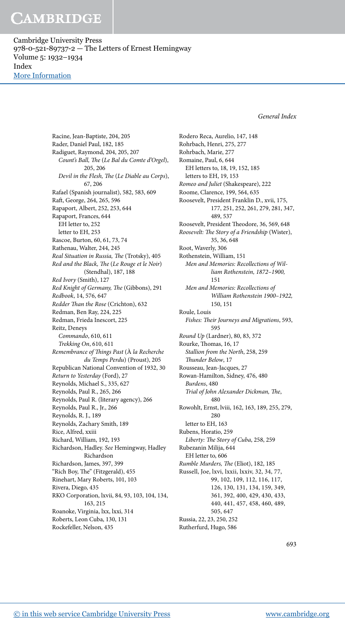Cambridge University Press 978-0-521-89737-2 — The Letters of Ernest Hemingway Volume 5: 1932–1934 Index [More Information](www.cambridge.org/9780521897372)

General Index

Racine, Jean-Baptiste, 204, 205 Rader, Daniel Paul, 182, 185 Radiguet, Raymond, 204, 205, 207 Count's Ball, The (Le Bal du Comte d'Orgel), 205, 206 Devil in the Flesh, The (Le Diable au Corps), 67, 206 Rafael (Spanish journalist), 582, 583, 609 Rat, George, 264, 265, 596 Rapaport, Albert, 252, 253, 644 Rapaport, Frances, 644 EH letter to, 252 letter to EH, 253 Rascoe, Burton, 60, 61, 73, 74 Rathenau, Walter, 244, 245 Real Situation in Russia, The (Trotsky), 405 Red and the Black, The (Le Rouge et le Noir) (Stendhal), 187, 188 Red Ivory (Smith), 127 Red Knight of Germany, The (Gibbons), 291 Redbook, 14, 576, 647 Redder Than the Rose (Crichton), 632 Redman, Ben Ray, 224, 225 Redman, Frieda Inescort, 225 Reitz, Deneys Commando, 610, 611 Trekking On, 610, 611 Remembrance of Things Past (À la Recherche du Temps Perdu) (Proust), 205 Republican National Convention of 1932, 30 Return to Yesterday (Ford), 27 Reynolds, Michael S., 335, 627 Reynolds, Paul R., 265, 266 Reynolds, Paul R. (literary agency), 266 Reynolds, Paul R., Jr., 266 Reynolds, R. J., 189 Reynolds, Zachary Smith, 189 Rice, Alfred, xxiii Richard, William, 192, 193 Richardson, Hadley. See Hemingway, Hadley Richardson Richardson, James, 397, 399 "Rich Boy, The" (Fitzgerald), 455 Rinehart, Mary Roberts, 101, 103 Rivera, Diego, 435 RKO Corporation, lxvii, 84, 93, 103, 104, 134, 163, 215 Roanoke, Virginia, lxx, lxxi, 314 Roberts, Leon Cuba, 130, 131 Rockefeller, Nelson, 435

Rodero Reca, Aurelio, 147, 148 Rohrbach, Henri, 275, 277 Rohrbach, Marie, 277 Romaine, Paul, 6, 644 EH letters to, 18, 19, 152, 185 letters to EH, 19, 153 Romeo and Juliet (Shakespeare), 222 Roome, Clarence, 199, 564, 635 Roosevelt, President Franklin D., xvii, 175, 177, 251, 252, 261, 279, 281, 347, 489, 537 Roosevelt, President Theodore, 36, 569, 648 Roosevelt: The Story of a Friendship (Wister), 35, 36, 648 Root, Waverly, 306 Rothenstein, William, 151 Men and Memories: Recollections of William Rothenstein, 1872–1900, 151 Men and Memories: Recollections of William Rothenstein 1900–1922, 150, 151 Roule, Louis Fishes: Their Journeys and Migrations, 593, 595 Round Up (Lardner), 80, 83, 372 Rourke, Thomas, 16, 17 Stallion from the North, 258, 259 hunder Below, 17 Rousseau, Jean-Jacques, 27 Rowan-Hamilton, Sidney, 476, 480 Burdens, 480 Trial of John Alexander Dickman, The, 480 Rowohlt, Ernst, lviii, 162, 163, 189, 255, 279, 280 letter to EH, 163 Rubens, Horatio, 259 Liberty: The Story of Cuba, 258, 259 Rubezanin Milija, 644 EH letter to, 606 Rumble Murders, The (Eliot), 182, 185 Russell, Joe, lxvi, lxxii, lxxiv, 32, 34, 77, 99, 102, 109, 112, 116, 117, 126, 130, 131, 134, 159, 349, 361, 392, 400, 429, 430, 433, 440, 441, 457, 458, 460, 489, 505, 647 Russia, 22, 23, 250, 252 Rutherfurd, Hugo, 586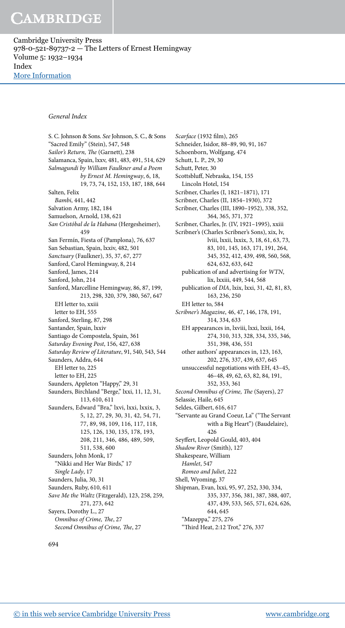Cambridge University Press 978-0-521-89737-2 — The Letters of Ernest Hemingway Volume 5: 1932–1934 Index [More Information](www.cambridge.org/9780521897372)

#### General Index

S. C. Johnson & Sons. See Johnson, S. C., & Sons "Sacred Emily" (Stein), 547, 548 Sailor's Return, The (Garnett), 238 Salamanca, Spain, lxxv, 481, 483, 491, 514, 629 Salmagundi by William Faulkner and a Poem by Ernest M. Hemingway, 6, 18, 19, 73, 74, 152, 153, 187, 188, 644 Salten, Felix Bambi, 441, 442 Salvation Army, 182, 184 Samuelson, Arnold, 138, 621 San Cristóbal de la Habana (Hergesheimer), 459 San Fermín, Fiesta of (Pamplona), 76, 637 San Sebastian, Spain, lxxiv, 482, 501 Sanctuary (Faulkner), 35, 37, 67, 277 Sanford, Carol Hemingway, 8, 214 Sanford, James, 214 Sanford, John, 214 Sanford, Marcelline Hemingway, 86, 87, 199, 213, 298, 320, 379, 380, 567, 647 EH letter to, xxiii letter to EH, 555 Sanford, Sterling, 87, 298 Santander, Spain, lxxiv Santiago de Compostela, Spain, 361 Saturday Evening Post, 156, 427, 638 Saturday Review of Literature, 91, 540, 543, 544 Saunders, Addra, 644 EH letter to, 225 letter to EH, 225 Saunders, Appleton "Happy," 29, 31 Saunders, Birchland "Berge," lxxi, 11, 12, 31, 113, 610, 611 Saunders, Edward "Bra," lxvi, lxxi, lxxix, 3, 5, 12, 27, 29, 30, 31, 42, 54, 71, 77, 89, 98, 109, 116, 117, 118, 125, 126, 130, 135, 178, 193, 208, 211, 346, 486, 489, 509, 511, 538, 600 Saunders, John Monk, 17 "Nikki and Her War Birds," 17 Single Lady, 17 Saunders, Julia, 30, 31 Saunders, Ruby, 610, 611 Save Me the Waltz (Fitzgerald), 123, 258, 259, 271, 273, 642 Sayers, Dorothy L., 27 Omnibus of Crime, The, 27 Second Omnibus of Crime, The, 27

Scarface (1932 film), 265 Schneider, Isidor, 88–89, 90, 91, 167 Schoenborn, Wolfgang, 474 Schutt, L. P., 29, 30 Schutt, Peter, 30 Scottsbluf, Nebraska, 154, 155 Lincoln Hotel, 154 Scribner, Charles (I, 1821–1871), 171 Scribner, Charles (II, 1854–1930), 372 Scribner, Charles (III, 1890–1952), 338, 352, 364, 365, 371, 372 Scribner, Charles, Jr. (IV, 1921–1995), xxiii Scribner's (Charles Scribner's Sons), xix, lv, lviii, lxxii, lxxix, 3, 18, 61, 63, 73, 83, 101, 145, 163, 171, 191, 264, 345, 352, 412, 439, 498, 560, 568, 624, 632, 633, 642 publication of and advertising for WTN, lix, lxxiii, 449, 544, 568 publication of DIA, lxix, lxxi, 31, 42, 81, 83, 163, 236, 250 EH letter to, 584 Scribner's Magazine, 46, 47, 146, 178, 191, 314, 334, 633 EH appearances in, lxviii, lxxi, lxxii, 164, 274, 310, 313, 328, 334, 335, 346, 351, 398, 436, 551 other authors' appearances in, 123, 163, 202, 276, 337, 439, 637, 645 unsuccessful negotiations with EH, 43–45, 46–48, 49, 62, 63, 82, 84, 191, 352, 353, 361 Second Omnibus of Crime, The (Sayers), 27 Selassie, Haile, 645 Seldes, Gilbert, 616, 617 "Servante au Grand Coeur, La" ("he Servant with a Big Heart") (Baudelaire), 426 Seyfert, Leopold Gould, 403, 404 Shadow River (Smith), 127 Shakespeare, William Hamlet, 547 Romeo and Juliet, 222 Shell, Wyoming, 37 Shipman, Evan, lxxi, 95, 97, 252, 330, 334, 335, 337, 356, 381, 387, 388, 407, 437, 439, 533, 565, 571, 624, 626, 644, 645 "Mazeppa," 275, 276

"hird Heat, 2:12 Trot," 276, 337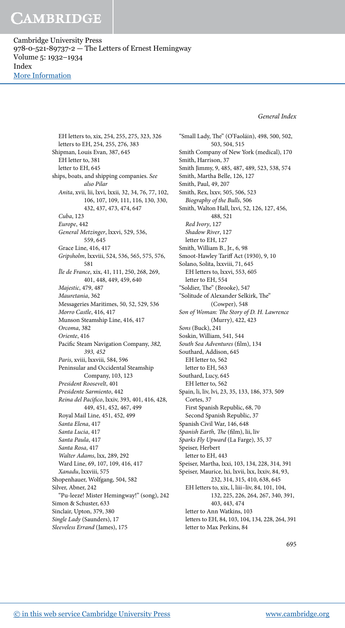Cambridge University Press 978-0-521-89737-2 — The Letters of Ernest Hemingway Volume 5: 1932–1934 Index [More Information](www.cambridge.org/9780521897372)

General Index

EH letters to, xix, 254, 255, 275, 323, 326 letters to EH, 254, 255, 276, 383 Shipman, Louis Evan, 387, 645 EH letter to, 381 letter to EH, 645 ships, boats, and shipping companies. See also Pilar Anita, xvii, lii, lxvi, lxxii, 32, 34, 76, 77, 102, 106, 107, 109, 111, 116, 130, 330, 432, 437, 473, 474, 647 Cuba, 123 Europe, 442 General Metzinger, lxxvi, 529, 536, 559, 645 Grace Line, 416, 417 Gripsholm, lxxviii, 524, 536, 565, 575, 576, 581 Île de France, xix, 41, 111, 250, 268, 269, 401, 448, 449, 459, 640 Majestic, 479, 487 Mauretania, 362 Messageries Maritimes, 50, 52, 529, 536 Morro Castle, 416, 417 Munson Steamship Line, 416, 417 Orcoma, 382 Oriente, 416 Pacific Steam Navigation Company, 382, 393, 452 Paris, xviii, lxxviii, 584, 596 Peninsular and Occidental Steamship Company, 103, 123 President Roosevelt, 401 Presidente Sarmiento, 442 Reina del Pacífico, lxxiv, 393, 401, 416, 428, 449, 451, 452, 467, 499 Royal Mail Line, 451, 452, 499 Santa Elena, 417 Santa Lucia, 417 Santa Paula, 417 Santa Rosa, 417 Walter Adams, lxx, 289, 292 Ward Line, 69, 107, 109, 416, 417 Xanadu, lxxviii, 575 Shopenhauer, Wolfgang, 504, 582 Silver, Abner, 242 "Pu-leeze! Mister Hemingway!" (song), 242 Simon & Schuster, 633 Sinclair, Upton, 379, 380 Single Lady (Saunders), 17 Sleeveless Errand (James), 175

503, 504, 515 Smith Company of New York (medical), 170 Smith, Harrison, 37 Smith Jimmy, 9, 485, 487, 489, 523, 538, 574 Smith, Martha Belle, 126, 127 Smith, Paul, 49, 207 Smith, Rex, lxxv, 505, 506, 523 Biography of the Bulls, 506 Smith, Walton Hall, lxvi, 52, 126, 127, 456, 488, 521 Red Ivory, 127 Shadow River, 127 letter to EH, 127 Smith, William B., Jr., 6, 98 Smoot-Hawley Tarif Act (1930), 9, 10 Solano, Solita, lxxviii, 71, 645 EH letters to, lxxvi, 553, 605 letter to EH, 554 "Soldier, The" (Brooke), 547 "Solitude of Alexander Selkirk, The" (Cowper), 548 Son of Woman: The Story of D. H. Lawrence (Murry), 422, 423 Sons (Buck), 241 Soskin, William, 541, 544 South Sea Adventures (film), 134 Southard, Addison, 645 EH letter to, 562 letter to EH, 563 Southard, Lucy, 645 EH letter to, 562 Spain, li, liv, lvi, 23, 35, 133, 186, 373, 509 Cortes, 37 First Spanish Republic, 68, 70 Second Spanish Republic, 37 Spanish Civil War, 146, 648 Spanish Earth, The (film), lii, liv Sparks Fly Upward (La Farge), 35, 37 Speiser, Herbert letter to EH, 443 Speiser, Martha, lxxi, 103, 134, 228, 314, 391 Speiser, Maurice, lxi, lxvii, lxx, lxxiv, 84, 93, 232, 314, 315, 410, 638, 645 EH letters to, xix, l, liii–liv, 84, 101, 104, 132, 225, 226, 264, 267, 340, 391, 403, 443, 474 letter to Ann Watkins, 103 letters to EH, 84, 103, 104, 134, 228, 264, 391 letter to Max Perkins, 84

"Small Lady, The" (O'Faoláin), 498, 500, 502,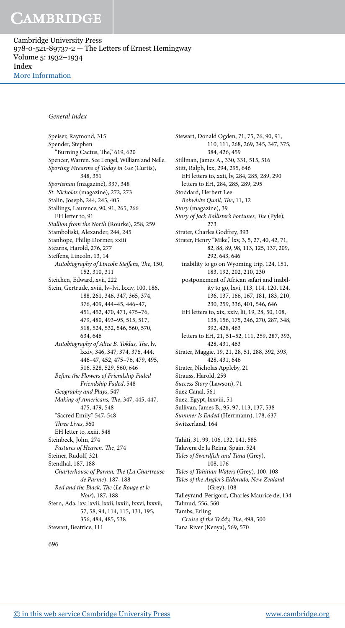Cambridge University Press 978-0-521-89737-2 — The Letters of Ernest Hemingway Volume 5: 1932–1934 Index [More Information](www.cambridge.org/9780521897372)

#### General Index

Speiser, Raymond, 315 Spender, Stephen "Burning Cactus, The," 619, 620 Spencer, Warren. See Lengel, William and Nelle. Sporting Firearms of Today in Use (Curtis), 348, 351 Sportsman (magazine), 337, 348 St. Nicholas (magazine), 272, 273 Stalin, Joseph, 244, 245, 405 Stallings, Laurence, 90, 91, 265, 266 EH letter to, 91 Stallion from the North (Rourke), 258, 259 Stamboliski, Alexander, 244, 245 Stanhope, Philip Dormer, xxiii Stearns, Harold, 276, 277 Stefens, Lincoln, 13, 14 Autobiography of Lincoln Steffens, The, 150, 152, 310, 311 Steichen, Edward, xvii, 222 Stein, Gertrude, xviii, lv–lvi, lxxiv, 100, 186, 188, 261, 346, 347, 365, 374, 376, 409, 444–45, 446–47, 451, 452, 470, 471, 475–76, 479, 480, 493–95, 515, 517, 518, 524, 532, 546, 560, 570, 634, 646 Autobiography of Alice B. Toklas, The, lv, lxxiv, 346, 347, 374, 376, 444, 446–47, 452, 475–76, 479, 495, 516, 528, 529, 560, 646 Before the Flowers of Friendship Faded Friendship Faded, 548 Geography and Plays, 547 Making of Americans, The, 347, 445, 447, 475, 479, 548 "Sacred Emily," 547, 548 hree Lives, 560 EH letter to, xxiii, 548 Steinbeck, John, 274 Pastures of Heaven, The, 274 Steiner, Rudolf, 321 Stendhal, 187, 188 Charterhouse of Parma, The (La Chartreuse de Parme), 187, 188 Red and the Black, The (Le Rouge et le Noir), 187, 188 Stern, Ada, lxv, lxvii, lxxii, lxxiii, lxxvi, lxxvii, 57, 58, 94, 114, 115, 131, 195, 356, 484, 485, 538 Stewart, Beatrice, 111

Stewart, Donald Ogden, 71, 75, 76, 90, 91, 110, 111, 268, 269, 345, 347, 375, 384, 426, 459 Stillman, James A., 330, 331, 515, 516 Stitt, Ralph, lxx, 294, 295, 646 EH letters to, xxii, lv, 284, 285, 289, 290 letters to EH, 284, 285, 289, 295 Stoddard, Herbert Lee Bobwhite Quail, The, 11, 12 Story (magazine), 39 Story of Jack Ballister's Fortunes, The (Pyle), 273 Strater, Charles Godfrey, 393 Strater, Henry "Mike," lxv, 3, 5, 27, 40, 42, 71, 82, 88, 89, 98, 113, 125, 137, 209, 292, 643, 646 inability to go on Wyoming trip, 124, 151, 183, 192, 202, 210, 230 postponement of African safari and inability to go, lxvi, 113, 114, 120, 124, 136, 137, 166, 167, 181, 183, 210, 230, 259, 336, 401, 546, 646 EH letters to, xix, xxiv, lii, 19, 28, 50, 108, 138, 156, 175, 246, 270, 287, 348, 392, 428, 463 letters to EH, 21, 51–52, 111, 259, 287, 393, 428, 431, 463 Strater, Maggie, 19, 21, 28, 51, 288, 392, 393, 428, 431, 646 Strater, Nicholas Appleby, 21 Strauss, Harold, 259 Success Story (Lawson), 71 Suez Canal, 561 Suez, Egypt, lxxviii, 51 Sullivan, James B., 95, 97, 113, 137, 538 Summer Is Ended (Herrmann), 178, 637 Switzerland, 164 Tahiti, 31, 99, 106, 132, 141, 585 Talavera de la Reina, Spain, 524 Tales of Swordfish and Tuna (Grey), 108, 176 Tales of Tahitian Waters (Grey), 100, 108 Tales of the Angler's Eldorado, New Zealand (Grey), 108 Talleyrand-Périgord, Charles Maurice de, 134 Talmud, 556, 560 Tambs, Erling Cruise of the Teddy, The, 498, 500

Tana River (Kenya), 569, 570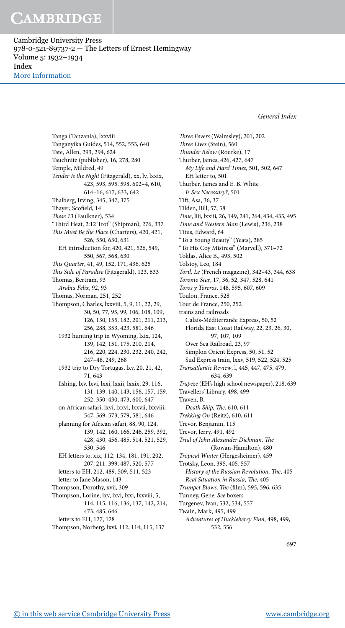Cambridge University Press 978-0-521-89737-2 — The Letters of Ernest Hemingway Volume 5: 1932–1934 Index [More Information](www.cambridge.org/9780521897372)

General Index

Tanga (Tanzania), lxxviii Tanganyika Guides, 514, 552, 553, 640 Tate, Allen, 293, 294, 624 Tauchnitz (publisher), 16, 278, 280 Temple, Mildred, 49 Tender Is the Night (Fitzgerald), xx, lv, lxxix, 423, 593, 595, 598, 602–4, 610, 614–16, 617, 633, 642 halberg, Irving, 345, 347, 375 Thayer, Scofield, 14 hese 13 (Faulkner), 534 "hird Heat, 2:12 Trot" (Shipman), 276, 337 This Must Be the Place (Charters), 420, 421, 526, 550, 630, 631 EH introduction for, 420, 421, 526, 549, 550, 567, 568, 630 his Quarter, 41, 49, 152, 171, 436, 625 This Side of Paradise (Fitzgerald), 123, 633 homas, Bertram, 93 Arabia Felix, 92, 93 homas, Norman, 251, 252 hompson, Charles, lxxviii, 5, 9, 11, 22, 29, 30, 50, 77, 95, 99, 106, 108, 109, 126, 130, 155, 182, 201, 211, 213, 256, 288, 353, 423, 581, 646 1932 hunting trip in Wyoming, lxix, 124, 139, 142, 151, 175, 210, 214, 216, 220, 224, 230, 232, 240, 242, 247–48, 249, 268 1932 trip to Dry Tortugas, lxv, 20, 21, 42, 71, 643 ishing, lxv, lxvi, lxxi, lxxii, lxxix, 29, 116, 131, 139, 140, 143, 156, 157, 159, 252, 350, 430, 473, 600, 647 on African safari, lxvi, lxxvi, lxxvii, lxxviii, 547, 569, 573, 579, 581, 646 planning for African safari, 88, 90, 124, 139, 142, 160, 166, 246, 259, 392, 428, 430, 456, 485, 514, 521, 529, 530, 546 EH letters to, xix, 112, 134, 181, 191, 202, 207, 211, 399, 487, 520, 577 letters to EH, 212, 489, 509, 511, 523 letter to Jane Mason, 143 hompson, Dorothy, xvii, 309 hompson, Lorine, lxv, lxvi, lxxi, lxxviii, 5, 114, 115, 116, 136, 137, 142, 214, 473, 485, 646 letters to EH, 127, 128

hompson, Norberg, lxvi, 112, 114, 115, 137

hree Fevers (Walmsley), 201, 202 hree Lives (Stein), 560 hunder Below (Rourke), 17 hurber, James, 426, 427, 647 My Life and Hard Times, 501, 502, 647 EH letter to, 501 hurber, James and E. B. White Is Sex Necessary?, 501 Tit, Asa, 36, 37 Tilden, Bill, 57, 58 Time, liii, lxxiii, 26, 149, 241, 264, 434, 435, 495 Time and Western Man (Lewis), 236, 238 Titus, Edward, 64 "To a Young Beauty" (Yeats), 385 "To His Coy Mistress" (Marvell), 371–72 Toklas, Alice B., 493, 502 Tolstoy, Leo, 184 Toril, Le (French magazine), 342–43, 344, 638 Toronto Star, 17, 36, 52, 347, 528, 641 Toros y Toreros, 148, 595, 607, 609 Toulon, France, 528 Tour de France, 250, 252 trains and railroads Calais-Méditerranée Express, 50, 52 Florida East Coast Railway, 22, 23, 26, 30, 97, 107, 109 Over Sea Railroad, 23, 97 Simplon Orient Express, 50, 51, 52 Sud Express train, lxxv, 519, 522, 524, 525 Transatlantic Review, l, 445, 447, 475, 479, 634, 639 Trapeze (EH's high school newspaper), 218, 639 Travellers' Library, 498, 499 Traven, B. Death Ship, The, 610, 611 Trekking On (Reitz), 610, 611 Trevor, Benjamin, 115 Trevor, Jerry, 491, 492 Trial of John Alexander Dickman, The (Rowan-Hamilton), 480 Tropical Winter (Hergesheimer), 459 Trotsky, Leon, 395, 405, 557 History of the Russian Revolution, The, 405 Real Situation in Russia, The, 405 Trumpet Blows, The (film), 595, 596, 635 Tunney, Gene. See boxers Turgenev, Ivan, 532, 534, 557 Twain, Mark, 495, 499 Adventures of Huckleberry Finn, 498, 499, 532, 556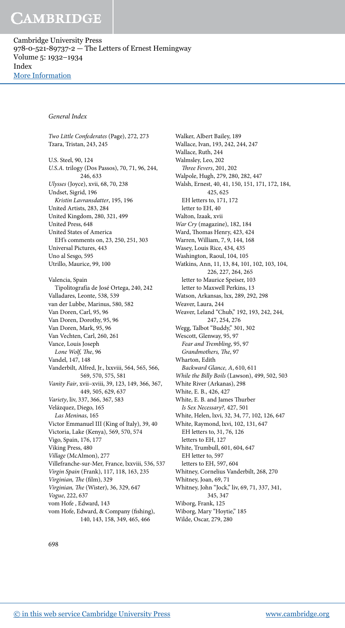Cambridge University Press 978-0-521-89737-2 — The Letters of Ernest Hemingway Volume 5: 1932–1934 Index [More Information](www.cambridge.org/9780521897372)

#### General Index

Two Little Confederates (Page), 272, 273 Tzara, Tristan, 243, 245 U.S. Steel, 90, 124 U.S.A. trilogy (Dos Passos), 70, 71, 96, 244, 246, 633 Ulysses (Joyce), xvii, 68, 70, 238 Undset, Sigrid, 196 Kristin Lavransdatter, 195, 196 United Artists, 283, 284 United Kingdom, 280, 321, 499 United Press, 648 United States of America EH's comments on, 23, 250, 251, 303 Universal Pictures, 443 Uno al Sesgo, 595 Utrillo, Maurice, 99, 100 Valencia, Spain Tipolitografía de José Ortega, 240, 242 Valladares, Leonte, 538, 539 van der Lubbe, Marinus, 580, 582 Van Doren, Carl, 95, 96 Van Doren, Dorothy, 95, 96 Van Doren, Mark, 95, 96 Van Vechten, Carl, 260, 261 Vance, Louis Joseph Lone Wolf, The, 96 Vandel, 147, 148 Vanderbilt, Alfred, Jr., lxxviii, 564, 565, 566, 569, 570, 575, 581 Vanity Fair, xvii–xviii, 39, 123, 149, 366, 367, 449, 505, 629, 637 Variety, liv, 337, 366, 367, 583 Velázquez, Diego, 165 Las Meninas, 165 Victor Emmanuel III (King of Italy), 39, 40 Victoria, Lake (Kenya), 569, 570, 574 Vigo, Spain, 176, 177 Viking Press, 480 Village (McAlmon), 277 Villefranche-sur-Mer, France, lxxviii, 536, 537 Virgin Spain (Frank), 117, 118, 163, 235 Virginian, The (film), 329 Virginian, The (Wister), 36, 329, 647 Vogue, 222, 637 vom Hofe , Edward, 143 vom Hofe, Edward, & Company (fishing), 140, 143, 158, 349, 465, 466

Walker, Albert Bailey, 189 Wallace, Ivan, 193, 242, 244, 247 Wallace, Ruth, 244 Walmsley, Leo, 202 hree Fevers, 201, 202 Walpole, Hugh, 279, 280, 282, 447 Walsh, Ernest, 40, 41, 150, 151, 171, 172, 184, 425, 625 EH letters to, 171, 172 letter to EH, 40 Walton, Izaak, xvii War Cry (magazine), 182, 184 Ward, Thomas Henry, 423, 424 Warren, William, 7, 9, 144, 168 Wasey, Louis Rice, 434, 435 Washington, Raoul, 104, 105 Watkins, Ann, 11, 13, 84, 101, 102, 103, 104, 226, 227, 264, 265 letter to Maurice Speiser, 103 letter to Maxwell Perkins, 13 Watson, Arkansas, lxx, 289, 292, 298 Weaver, Laura, 244 Weaver, Leland "Chub," 192, 193, 242, 244, 247, 254, 276 Wegg, Talbot "Buddy," 301, 302 Wescott, Glenway, 95, 97 Fear and Trembling, 95, 97 Grandmothers, The, 97 Wharton, Edith Backward Glance, A, 610, 611 While the Billy Boils (Lawson), 499, 502, 503 White River (Arkanas), 298 White, E. B., 426, 427 White, E. B. and James Thurber Is Sex Necessary?, 427, 501 White, Helen, lxvi, 32, 34, 77, 102, 126, 647 White, Raymond, lxvi, 102, 131, 647 EH letters to, 31, 76, 126 letters to EH, 127 White, Trumbull, 601, 604, 647 EH letter to, 597 letters to EH, 597, 604 Whitney, Cornelius Vanderbilt, 268, 270 Whitney, Joan, 69, 71 Whitney, John "Jock," liv, 69, 71, 337, 341, 345, 347 Wiborg, Frank, 125 Wiborg, Mary "Hoytie," 185 Wilde, Oscar, 279, 280